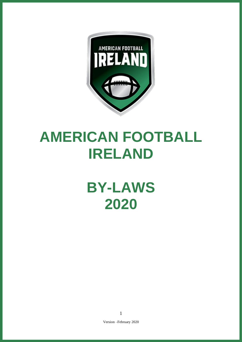

# **AMERICAN FOOTBALL IRELAND**

# **BY-LAWS 2020**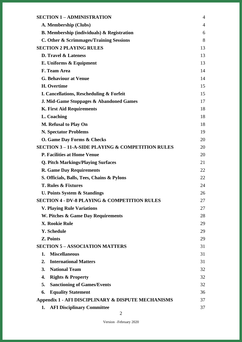| <b>SECTION 1 - ADMINISTRATION</b>                            | $\overline{4}$ |
|--------------------------------------------------------------|----------------|
| A. Membership (Clubs)                                        | $\overline{4}$ |
| <b>B.</b> Membership (individuals) & Registration            | 6              |
| C. Other & Scrimmages/Training Sessions                      | 8              |
| <b>SECTION 2 PLAYING RULES</b>                               | 13             |
| D. Travel & Lateness                                         | 13             |
| E. Uniforms & Equipment                                      | 13             |
| F. Team Area                                                 | 14             |
| <b>G. Behaviour at Venue</b>                                 | 14             |
| H. Overtime                                                  | 15             |
| I. Cancellations, Rescheduling & Forfeit                     | 15             |
| <b>J. Mid-Game Stoppages &amp; Abandoned Games</b>           | 17             |
| <b>K. First Aid Requirements</b>                             | 18             |
| L. Coaching                                                  | 18             |
| M. Refusal to Play On                                        | 18             |
| <b>N. Spectator Problems</b>                                 | 19             |
| <b>O. Game Day Forms &amp; Checks</b>                        | 20             |
| <b>SECTION 3 - 11-A-SIDE PLAYING &amp; COMPETITION RULES</b> | 20             |
| <b>P. Facilities at Home Venue</b>                           | 20             |
| <b>Q. Pitch Markings/Playing Surfaces</b>                    | 21             |
| <b>R. Game Day Requirements</b>                              | 22             |
| S. Officials, Balls, Tees, Chains & Pylons                   | 22             |
| <b>T. Rules &amp; Fixtures</b>                               | 24             |
| <b>U. Points System &amp; Standings</b>                      | 26             |
| <b>SECTION 4 - DV-8 PLAYING &amp; COMPETITION RULES</b>      | 27             |
| <b>V. Playing Rule Variations</b>                            | 27             |
| W. Pitches & Game Day Requirements                           | 28             |
| <b>X. Rookie Rule</b>                                        | 29             |
| <b>Y. Schedule</b>                                           | 29             |
| <b>Z. Points</b>                                             | 29             |
| <b>SECTION 5 - ASSOCIATION MATTERS</b>                       | 31             |
| <b>Miscellaneous</b><br>1.                                   | 31             |
| <b>International Matters</b><br>2.                           | 31             |
| <b>National Team</b><br>3.                                   | 32             |
| 4.<br><b>Rights &amp; Property</b>                           | 32             |
| 5.<br><b>Sanctioning of Games/Events</b>                     | 32             |
| 6.<br><b>Equality Statement</b>                              | 36             |
| Appendix 1 - AFI DISCIPLINARY & DISPUTE MECHANISMS           | 37             |
| <b>AFI Disciplinary Committee</b><br>1.                      | 37             |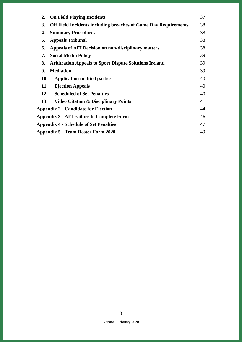| <b>On Field Playing Incidents</b><br>2.                                      | 37 |
|------------------------------------------------------------------------------|----|
| 3.<br><b>Off Field Incidents including breaches of Game Day Requirements</b> | 38 |
| <b>Summary Procedures</b><br>4.                                              | 38 |
| 5.<br><b>Appeals Tribunal</b>                                                | 38 |
| <b>Appeals of AFI Decision on non-disciplinary matters</b><br>6.             | 38 |
| 7.<br><b>Social Media Policy</b>                                             | 39 |
| 8.<br><b>Arbitration Appeals to Sport Dispute Solutions Ireland</b>          | 39 |
| <b>Mediation</b><br>9.                                                       | 39 |
| <b>10.</b><br><b>Application to third parties</b>                            | 40 |
| 11.<br><b>Ejection Appeals</b>                                               | 40 |
| <b>Scheduled of Set Penalties</b><br>12.                                     | 40 |
| 13.<br><b>Video Citation &amp; Disciplinary Points</b>                       | 41 |
| <b>Appendix 2 - Candidate for Election</b>                                   | 44 |
| <b>Appendix 3 - AFI Failure to Complete Form</b>                             | 46 |
| <b>Appendix 4 - Schedule of Set Penalties</b>                                | 47 |
| Appendix 5 - Team Roster Form 2020                                           | 49 |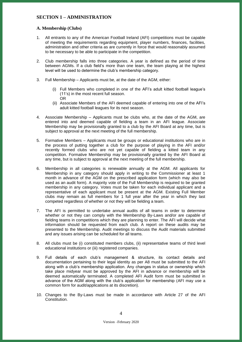## <span id="page-3-0"></span>**SECTION 1 – ADMINISTRATION**

## <span id="page-3-1"></span>**A. Membership (Clubs)**

- 1. All entrants to any of the American Football Ireland (AFI) competitions must be capable of meeting the requirements regarding equipment, player numbers, finances, facilities, administration and other criteria as are currently in force that would reasonably assumed to be necessary to be able to participate in the competition.
- 2. Club membership falls into three categories. A year is defined as the period of time between AGMs. If a club field's more than one team, the team playing at the highest level will be used to determine the club's membership category.
- 3. Full Membership Applicants must be, at the date of the AGM, either:
	- (i) Full Members who completed in one of the AFI's adult kitted football league's (11's) in the most recent full season. OR
	- (ii) Associate Members of the AFI deemed capable of entering into one of the AFI's adult kitted football leagues for its next season.
- 4. Associate Membership Applicants must be clubs who, at the date of the AGM, are entered into and deemed capable of fielding a team in an AFI league. Associate Membership may be provisionally granted to a club by the AFI Board at any time, but is subject to approval at the next meeting of the full membership.
- 5. Formative Members Applicants must be groups or educational institutions who are in the process of putting together a club for the purpose of playing in the AFI and/or recently formed clubs who are not yet capable of fielding a kitted team in any competition. Formative Membership may be provisionally granted by the AFI Board at any time, but is subject to approval at the next meeting of the full membership.
- 6. Membership in all categories is renewable annually at the AGM. All applicants for Membership in any category should apply in writing to the Commissioner at least 1 month in advance of the AGM on the prescribed application form (which may also be used as an audit form). A majority vote of the Full Membership is required to be granted membership in any category. Votes must be taken for each individual applicant and a representative of each applicant must be present at the AGM. Existing Full Member clubs may remain as full members for 1 full year after the year in which they last competed regardless of whether or not they will be fielding a team.
- 7. The AFI is permitted to undertake annual audits of all teams in order to determine whether or not they can comply with the Membership By-Laws and/or are capable of fielding teams in competitions which they are planning to enter. The AFI will decide what information should be requested from each club. A report on these audits may be presented to the Membership. Audit meetings to discuss the Audit materials submitted and any issues arising can be scheduled for all teams.
- 8. All clubs must be (i) constituted members clubs, (ii) representative teams of third level educational institutions or (iii) registered companies.
- 9. Full details of each club's management & structure, its contact details and documentation pertaining to their legal identity as per A8 must be submitted to the AFI along with a club's membership application. Any changes in status or ownership which take place midyear must be approved by the AFI in advance or membership will be deemed automatically terminated. A completed AFI Audit form must be submitted in advance of the AGM along with the club's application for membership (AFI may use a common form for audit/applications at its discretion).
- 10. Changes to the By-Laws must be made in accordance with Article 27 of the AFI Constitution.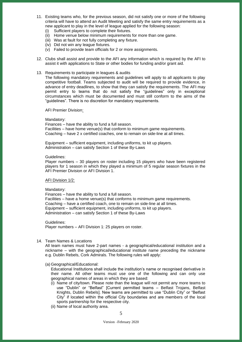- 11. Existing teams who, for the previous season, did not satisfy one or more of the following criteria will have to attend an Audit Meeting and satisfy the same entry requirements as a new applicant to play in the level of league applied for the following season:
	- (i) Sufficient players to complete their fixtures.
	- (ii) Home venue below minimum requirements for more than one game.
	- (iii) Was at fault for not fully completing any fixture.
	- (iv) Did not win any league fixtures.
	- (v) Failed to provide team officials for 2 or more assignments.
- 12. Clubs shall assist and provide to the AFI any information which is required by the AFI to assist it with applications to State or other bodies for funding and/or grant aid.
- 13. Requirements to participate in leagues & audits

The following mandatory requirements and guidelines will apply to all applicants to play competitive football. Teams subjected to audit will be required to provide evidence, in advance of entry deadlines, to show that they can satisfy the requirements. The AFI may permit entry to teams that do not satisfy the "guidelines" only in exceptional circumstances which must be documented and must still conform to the aims of the "guidelines". There is no discretion for mandatory requirements.

AFI Premier Division:

#### Mandatory:

Finances – have the ability to fund a full season. Facilities – have home venue(s) that conform to minimum game requirements. Coaching – have 2 x certified coaches, one to remain on side-line at all times.

Equipment – sufficient equipment, including uniforms, to kit up players. Administration – can satisfy Section 1 of these By-Laws

#### Guidelines:

Player numbers – 30 players on roster including 15 players who have been registered players for 1 season in which they played a minimum of 5 regular season fixtures in the AFI Premier Division or AFI Division 1.

#### AFI Division 1/2:

## Mandatory:

Finances – have the ability to fund a full season.

Facilities – have a home venue(s) that conforms to minimum game requirements. Coaching – have a certified coach, one to remain on side-line at all times. Equipment – sufficient equipment, including uniforms, to kit up players. Administration – can satisfy Section 1 of these By-Laws

Guidelines:

Player numbers – AFI Division 1: 25 players on roster.

#### 14. Team Names & Locations

All team names must have 2-part names - a geographical/educational institution and a nickname – with the geographical/educational institute name preceding the nickname e.g. Dublin Rebels, Cork Admirals. The following rules will apply:

#### (a) Geographical/Educational:

Educational Institutions shall include the institution's name or recognised derivative in their name. All other teams must use one of the following and can only use geographical names of areas in which they are based:

- (i) Name of city/town. Please note than the league will not permit any more teams to use "Dublin" or "Belfast" [Current permitted teams – Belfast Trojans, Belfast Knights, Dublin Rebels]. New teams are permitted to use "Dublin City" or "Belfast City" if located within the official City boundaries and are members of the local sports partnership for the respective city.
- (ii) Name of local authority area.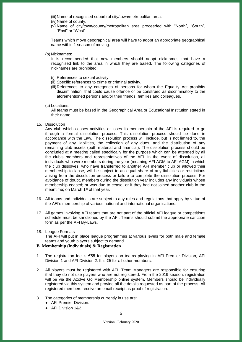(iii) Name of recognised suburb of city/town/metropolitan area.

- (iv)Name of county.
- (v) Name of city/town/county/metropolitan area proceeded with "North", "South", "East" or "West".

Teams which move geographical area will have to adopt an appropriate geographical name within 1 season of moving.

(b) Nicknames:

It is recommended that new members should adopt nicknames that have a recognised link to the area in which they are based. The following categories of nicknames are prohibited:

- (i) References to sexual activity.
- (ii) Specific references to crime or criminal activity.
- (iii)References to any categories of persons for whom the Equality Act prohibits discrimination; that could cause offence or be construed as discriminatory to the aforementioned persons and/or their friends, families and colleagues.

(c) Locations:

All teams must be based in the Geographical Area or Educational Institution stated in their name.

15. Dissolution

Any club which ceases activities or loses its membership of the AFI is required to go through a formal dissolution process. This dissolution process should be done in accordance with the Law. The dissolution process will include, but is not limited to, the payment of any liabilities, the collection of any dues, and the distribution of any remaining club assets (both material and financial). The dissolution process should be concluded at a meeting called specifically for the purpose which can be attended by all the club's members and representatives of the AFI. In the event of dissolution, all individuals who were members during the year (meaning AFI AGM to AFI AGM) in which the club dissolves, who have transferred to another AFI member club or allowed their membership to lapse, will be subject to an equal share of any liabilities or restrictions arising from the dissolution process or failure to complete the dissolution process. For avoidance of doubt, members during the dissolution year includes any individuals whose membership ceased; or was due to cease, or if they had not joined another club in the meantime; on March 1<sup>st</sup> of that year.

- 16. All teams and individuals are subject to any rules and regulations that apply by virtue of the AFI's membership of various national and international organisations.
- 17. All games involving AFI teams that are not part of the official AFI league or competitions schedule must be sanctioned by the AFI. Teams should submit the appropriate sanction form as per the AFI By-Laws.
- 18. League Formats

The AFI will put in place league programmes at various levels for both male and female teams and youth players subject to demand.

#### <span id="page-5-0"></span>**B. Membership (individuals) & Registration**

- 1. The registration fee is €55 for players on teams playing in AFI Premier Division, AFI Division 1 and AFI Division 2. It is €5 for all other members.
- 2. All players must be registered with AFI. Team Managers are responsible for ensuring that they do not use players who are not registered. From the 2019 season, registration will be via the Azolve Go Membership online system. Members should be individually registered via this system and provide all the details requested as part of the process. All registered members receive an email receipt as proof of registration.
- 3. The categories of membership currently in use are:
	- AFI Premier Division.
	- AFI Division 1&2.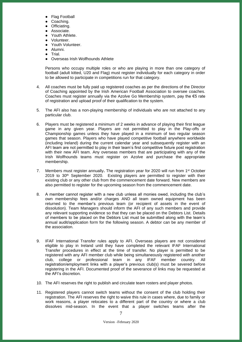- **Flag Football**
- Coaching.
- Officiating.
- Associate.
- Youth Athlete.
- Volunteer.
- Youth Volunteer.
- Alumni.
- $\bullet$  Trial
- Overseas Irish Wolfhounds Athlete

Persons who occupy multiple roles or who are playing in more than one category of football (adult kitted, U20 and Flag) must register individually for each category in order to be allowed to participate in competitions run for that category.

- 4. All coaches must be fully paid up registered coaches as per the directions of the Director of Coaching appointed by the Irish American Football Association to oversee coaches. Coaches must register annually via the Azolve Go Membership system, pay the  $\epsilon$ 5 rate of registration and upload proof of their qualification to the system.
- 5. The AFI also has a non-playing membership of individuals who are not attached to any particular club.
- 6. Players must be registered a minimum of 2 weeks in advance of playing their first league game in any given year. Players are not permitted to play in the Play-offs or Championship games unless they have played in a minimum of two regular season games that season. Players who have played competitive football anywhere worldwide (including Ireland) during the current calendar year and subsequently register with an AFI team are not permitted to play in their team's first competitive fixture post registration with their new AFI team. Any overseas members that are participating with any of the Irish Wolfhounds teams must register on Azolve and purchase the appropriate membership.
- 7. Members must register annually**.** The registration year for 2020 will run from 1 st October  $2019$  to  $30<sup>th</sup>$  September 2020. Existing players are permitted to register with their existing club or any other club from the commencement date forward. New members are also permitted to register for the upcoming season from the commencement date.
- 8. A member cannot register with a new club unless all monies owed, including the club's own membership fees and/or charges AND all team owned equipment has been returned to the member's previous team (or recipient of assets in the event of dissolution). Team Managers should inform the AFI of any such members and provide any relevant supporting evidence so that they can be placed on the Debtors List. Details of members to be placed on the Debtors List must be submitted along with the team's annual audit/application form for the following season. A debtor can be any member of the association.
- 9. IFAF International Transfer rules apply to AFI. Overseas players are not considered eligible to play in Ireland until they have completed the relevant IFAF International Transfer procedures in effect at the time of transfer. No player is permitted to be registered with any AFI member club while being simultaneously registered with another club, college or professional team in any IFAF member country. All registration/employment links with a player's previous club(s) must be severed before registering in the AFI. Documented proof of the severance of links may be requested at the AFI's discretion.
- 10. The AFI reserves the right to publish and circulate team rosters and player photos.
- 11. Registered players cannot switch teams without the consent of the club holding their registration. The AFI reserves the right to waive this rule in cases where, due to family or work reasons, a player relocates to a different part of the country or where a club dissolves mid-season. In the event that a player switches teams after the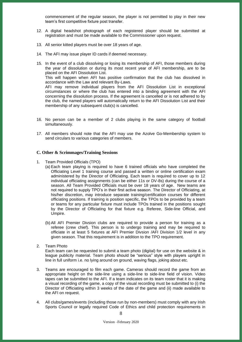commencement of the regular season, the player is not permitted to play in their new team's first competitive fixture post transfer.

- 12. A digital headshot photograph of each registered player should be submitted at registration and must be made available to the Commissioner upon request.
- 13. All senior kitted players must be over 18 years of age.
- 14. The AFI may issue player ID cards if deemed necessary.
- 15. In the event of a club dissolving or losing its membership of AFI, those members during the year of dissolution or during its most recent year of AFI membership, are to be placed on the AFI Dissolution List. This will happen when AFI has positive confirmation that the club has dissolved in accordance with the Law and relevant By-Laws. AFI may remove individual players from the AFI Dissolution List in exceptional circumstances or where the club has entered into a binding agreement with the AFI concerning the dissolution process. If the agreement is cancelled or is not adhered to by the club, the named players will automatically return to the AFI Dissolution List and their membership of any subsequent club(s) is cancelled.
- 16. No person can be a member of 2 clubs playing in the same category of football simultaneously.
- 17. All members should note that the AFI may use the Azolve Go-Membership system to send circulars to various categories of members.

#### <span id="page-7-0"></span>**C. Other & Scrimmages/Training Sessions**

- 1. Team Provided Officials (TPO)
	- (a) Each team playing is required to have 6 trained officials who have completed the Officiating Level 1 training course and passed a written or online certification exam administered by the Director of Officiating. Each team is required to cover up to 12 individual officiating assignments (can be either 11s or DV-8s) during the course of a season. All Team Provided Officials must be over 18 years of age. New teams are not required to supply TPO's in their first active season. The Director of Officiating, at his/her discretion, may introduce separate training/certification courses for different officiating positions. If training is position specific, the TPOs to be provided by a team or teams for any particular fixture must include TPOs trained in the positions sought by the Director of Officiating for that fixture e.g. Referee, Side-line Official, and Umpire.
	- (b) All AFI Premier Divsion clubs are required to provide a person for training as a referee (crew chief). This person is to undergo training and may be required to officiate in at least 5 fixtures at AFI Premier Divsion /AFI Division 1/2 level in any given season. That this requirement is in addition to the TPO requirement.
- 2. Team Photo

Each team can be requested to submit a team photo (digital) for use on the website & in league publicity material. Team photo should be "serious" style with players upright in line in full uniform i.e. no lying around on ground, waving flags, joking about etc.

- 3. Teams are encouraged to film each game. Cameras should record the game from an appropriate height on the side-line using a side-line to side-line field of vision. Video tapes can be submitted to the AFI. If a team indicates on its team roster that it is making a visual recording of the game, a copy of the visual recording must be submitted to (i) the Director of Officiating within 3 weeks of the date of the game and (ii) made available to the AFI on request.
- 4. All clubs/games/events (including those run by non-members) must comply with any Irish Sports Council or legally required Code of Ethics and child protection requirements in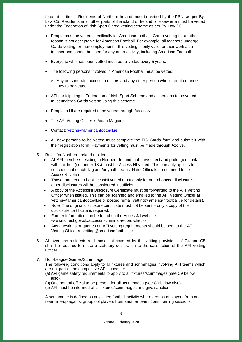force at all times. Residents of Northern Ireland must be vetted by the PSNI as per By-Law C5. Residents in all other parts of the island of Ireland or elsewhere must be vetted under the Federation of Irish Sport Garda vetting scheme as per By-Law C6

- People must be vetted specifically for American football. Garda vetting for another reason is not acceptable for American Football. For example, all teachers undergo Garda vetting for their employment – this vetting is only valid for their work as a teacher and cannot be used for any other activity, including American Football.
- Everyone who has been vetted must be re-vetted every 5 years.
- The following persons involved in American Football must be vetted:
	- $\circ$  Any persons with access to minors and any other person who is required under Law to be vetted.
- AFI participating in Federation of Irish Sport Scheme and all persons to be vetted must undergo Garda vetting using this scheme.
- People in NI are required to be vetted through AccessNI.
- The AFI Vetting Officer is Aidan Maguire.
- Contact: [vetting@americanfootball.ie.](mailto:vetting@americanfootball.ie)
- All new persons to be vetted must complete the FIS Garda form and submit it with their registration form. Payments for vetting must be made through Azolve.
- 5. Rules for Northern Ireland residents
	- All AFI members residing in Northern Ireland that have direct and prolonged contact with children (i.e. under 18s) must be Access NI vetted. This primarily applies to coaches that coach flag and/or youth teams. Note: Officials do not need to be AccessNI vetted.
	- Those that need to be AccessNI vetted must apply for an enhanced disclosure all other disclosures will be considered insufficient.
	- A copy of the AccessNI Disclosure Certificate must be forwarded to the AFI Vetting Officer when issued. This can be scanned and emailed to the AFI Vetting Officer at [vetting@americanfootball.ie](mailto:vetting@americanfootball.ie) or posted (email [vetting@americanfootball.ie](mailto:vetting@americanfootball.ie) for details).
	- Note: The original disclosure certificate must not be sent only a copy of the disclosure certificate is required.
	- Further information can be found on the AccessNI website: [www.nidirect.gov.uk/accessni-criminal-record-checks.](http://www.nidirect.gov.uk/accessni-criminal-record-checks)
	- Any questions or queries on AFI vetting requirements should be sent to the AFI Vetting Officer at [vetting@americanfootball.ie](mailto:vetting@americanfootball.ie)
- 6. All overseas residents and those not covered by the vetting provisions of C4 and C5 shall be required to make a statutory declaration to the satisfaction of the AFI Vetting Officer.
- 7. Non-League Games/Scrimmage
	- The following conditions apply to all fixtures and scrimmages involving AFI teams which are not part of the competitive AFI schedule:
	- (a) AFI game safety requirements to apply to all fixtures/scrimmages (see C9 below also).
	- (b) One neutral official to be present for all scrimmages (see C9 below also).
	- (c) AFI must be informed of all fixtures/scrimmages and give sanction.

A scrimmage is defined as any kitted football activity where groups of players from one team line-up against groups of players from another team. Joint training sessions,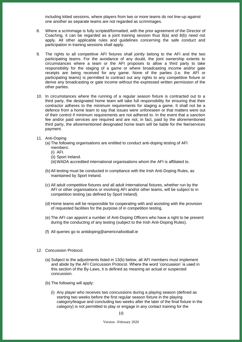including kitted sessions, where players from two or more teams do not line-up against one another as separate teams are not regarded as scrimmages.

- 8. Where a scrimmage is fully scripted/formatted, with the prior agreement of the Director of Coaching, it can be regarded as a joint training session thus 8(a) and 8(b) need not apply. All other applicable rules and guidelines concerning the safe conduct and participation in training sessions shall apply.
- 9. The rights to all competitive AFI fixtures shall jointly belong to the AFI and the two participating teams. For the avoidance of any doubt, the joint ownership extents to circumstances where a team or the AFI proposes to allow a third party to take responsibility for the staging of a game or where broadcasting income and/or gate receipts are being received for any game. None of the parties (i.e. the AFI or participating teams) is permitted to contract out any rights to any competitive fixture or derive any broadcasting or gate income without the expressed written permission of the other parties.
- 10. In circumstances where the running of a regular season fixture is contracted out to a third party, the designated home team will take full responsibility for ensuring that their contractor adheres to the minimum requirements for staging a game. It shall not be a defence from a home team to say that issues were unforeseen or that matters were out of their control if minimum requirements are not adhered to. In the event that a sanction fee and/or paid services are required and are not, in fact, paid by the aforementioned third party, the aforementioned designated home team will be liable for the fee/services payment.
- 11. Anti-Doping
	- (a) The following organisations are entitled to conduct anti-doping testing of AFI members:
		- (i) AFI.
		- (ii) Sport Ireland.
		- (iii)WADA accredited international organisations whom the AFI is affiliated to.
	- (b) All testing must be conducted in compliance with the Irish Anti-Doping Rules, as maintained by Sport Ireland.
	- (c) All adult competitive fixtures and all adult International fixtures, whether run by the AFI or other organisations or involving AFI and/or other teams, will be subject to in competition testing (as defined by Sport Ireland).
	- (d) Home teams will be responsible for cooperating with and assisting with the provision of requested facilities for the purpose of in competition testing.
	- (e) The AFI can appoint a number of Anti-Doping Officers who have a right to be present during the conducting of any testing (subject to the Irish Anti-Doping Rules).
	- (f) All queries go to [antidoping@americnafootball.ie](mailto:antidoping@americnafootball.ie)
- 12. Concussion Protocol.
	- (a) Subject to the adjustments listed in 13(b) below, all AFI members must implement and abide by the AFI Concussion Protocol. Where the word 'concussion' is used in this section of the By-Laws, it is defined as meaning an actual or suspected concussion.
	- (b) The following will apply:
		- (i) Any player who receives two concussions during a playing season (defined as starting two weeks before the first regular season fixture in the playing category/league and concluding two weeks after the later of the final fixture in the category) is not permitted to play or engage in any contact training for the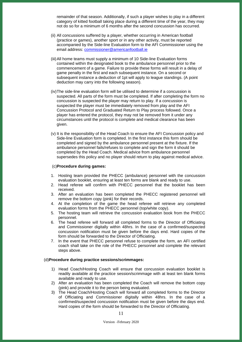remainder of that season. Additionally, if such a player wishes to play in a different category of kitted football taking place during a different time of the year, they may not do so for a minimum of 6 months after the second concussion has occurred.

- (ii) All concussions suffered by a player, whether occurring in American football (practice or games), another sport or in any other activity, must be reported accompanied by the Side-line Evaluation form to the AFI Commissioner using the email address: [commissioner@americanfootball.ie](mailto:commissioner@americanfootball.ie)
- (iii)All home teams must supply a minimum of 10 Side-line Evaluation forms contained within the designated book to the ambulance personnel prior to the commencement of a game. Failure to provide these forms will result in a delay of game penalty in the first and each subsequent instance. On a second or subsequent instance a deduction of 1pt will apply to league standings. (A point deduction may carry into the following season).
- (iv)The side-line evaluation form will be utilised to determine if a concussion is suspected. All parts of the form must be completed. If after completing the form no concussion is suspected the player may return to play. If a concussion is suspected the player must be immediately removed from play and the AFI Concussion Protocol and Graduated Return to Play process followed. Once a player has entered the protocol, they may not be removed from it under any circumstances until the protocol is complete and medical clearance has been given.
- (v) It is the responsibility of the Head Coach to ensure the AFI Concussion policy and Side-line Evaluation form is completed. In the first instance this form should be completed and signed by the ambulance personnel present at the fixture. If the ambulance personnel fails/refuses to complete and sign the form it should be completed by the Head Coach. Medical advice from ambulance personnel supersedes this policy and no player should return to play against medical advice.

#### (c)**Procedure during games:**

- 1. Hosting team provided the PHECC (ambulance) personnel with the concussion evaluation booklet, ensuring at least ten forms are blank and ready to use.
- 2. Head referee will confirm with PHECC personnel that the booklet has been received.
- 3. After an evaluation has been completed the PHECC registered personnel will remove the bottom copy (pink) for their records.
- 4. At the completion of the game the head referee will retrieve any completed evaluation forms from the PHECC personnel (top/white copy).
- 5. The hosting team will retrieve the concussion evaluation book from the PHECC personnel.
- 6. The head referee will forward all completed forms to the Director of Officiating and Commissioner digitally within 48hrs. In the case of a confirmed/suspected concussion notification must be given before the days end. Hard copies of the form should be forwarded to the Director of Officiating.
- 7. In the event that PHECC personnel refuse to complete the form, an AFI certified coach shall take on the role of the PHECC personnel and complete the relevant steps above.

#### (d)**Procedure during practice sessions/scrimmages:**

- 1) Head Coach/Hosting Coach will ensure that concussion evaluation booklet is readily available at the practice session/scrimmage with at least ten blank forms available and ready to use.
- 2) After an evaluation has been completed the Coach will remove the bottom copy (pink) and provide it to the person being evaluated.
- 3) The Head Coach/Hosting Coach will forward all completed forms to the Director of Officiating and Commissioner digitally within 48hrs. In the case of a confirmed/suspected concussion notification must be given before the days end. Hard copies of the form should be forwarded to the Director of Officiating.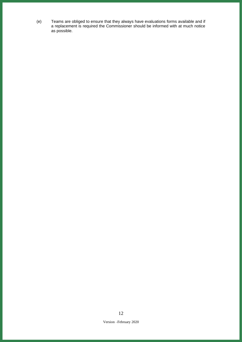(e) Teams are obliged to ensure that they always have evaluations forms available and if a replacement is required the Commissioner should be informed with at much notice as possible.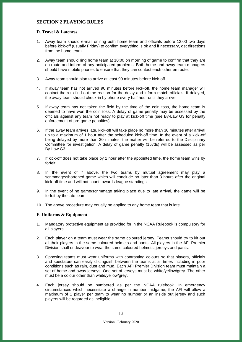## <span id="page-12-0"></span>**SECTION 2 PLAYING RULES**

## <span id="page-12-1"></span>**D. Travel & Lateness**

- 1. Away team should e-mail or ring both home team and officials before 12:00 two days before kick-off (usually Friday) to confirm everything is ok and if necessary, get directions from the home team.
- 2. Away team should ring home team at 10:00 on morning of game to confirm that they are en route and inform of any anticipated problems. Both home and away team managers should have mobile phones to ensure that they can contact each other en route.
- 3. Away team should plan to arrive at least 90 minutes before kick-off.
- 4. If away team has not arrived 90 minutes before kick-off, the home team manager will contact them to find out the reason for the delay and inform match officials. If delayed, the away team should check-in by phone every half hour until they arrive.
- 5. If away team has not taken the field by the time of the coin toss, the home team is deemed to have won the coin toss. A delay of game penalty may be assessed by the officials against any team not ready to play at kick-off time (see By-Law G3 for penalty enforcement of pre-game penalties).
- 6. If the away team arrives late, kick-off will take place no more than 30 minutes after arrival up to a maximum of 1 hour after the scheduled kick-off time. In the event of a kick-off being delayed by more than 30 minutes, the matter will be referred to the Disciplinary Committee for investigation. A delay of game penalty (15yds) will be assessed as per By-Law G3.
- 7. If kick-off does not take place by 1 hour after the appointed time, the home team wins by forfeit.
- 8. In the event of 7 above, the two teams by mutual agreement may play a scrimmage/shortened game which will conclude no later than 3 hours after the original kick-off time and will not count towards league standings.
- 9. In the event of no game/scrimmage taking place due to late arrival, the game will be forfeit by the late team.
- 10. The above procedure may equally be applied to any home team that is late.

## <span id="page-12-2"></span>**E. Uniforms & Equipment**

- 1. Mandatory protective equipment as provided for in the NCAA Rulebook is compulsory for all players.
- 2. Each player on a team must wear the same coloured jersey. Teams should try to kit out all their players in the same coloured helmets and pants. All players in the AFI Premier Division shall endeavour to wear the same coloured helmets, jerseys and pants.
- 3. Opposing teams must wear uniforms with contrasting colours so that players, officials and spectators can easily distinguish between the teams at all times including in poor conditions such as rain, dust and mud. Each AFI Premier Division team must maintain a set of home and away jerseys. One set of jerseys must be white/yellow/grey. The other must be a colour other than white/yellow/grey.
- 4. Each jersey should be numbered as per the NCAA rulebook. In emergency circumstances which necessitate a change in number midgame, the AFI will allow a maximum of 1 player per team to wear no number or an inside out jersey and such players will be regarded as ineligible.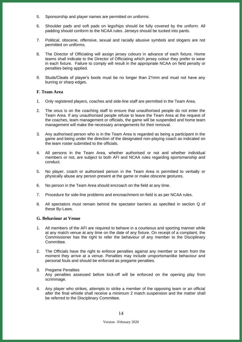- 5. Sponsorship and player names are permitted on uniforms.
- 6. Shoulder pads and soft pads on legs/hips should be fully covered by the uniform. All padding should conform to the NCAA rules. Jerseys should be tucked into pants.
- 7. Political, obscene, offensive, sexual and racially abusive symbols and slogans are not permitted on uniforms.
- 8. The Director of Officiating will assign jersey colours in advance of each fixture. Home teams shall indicate to the Director of Officiating which jersey colour they prefer to wear in each fixture. Failure to comply will result in the appropriate NCAA on field penalty or penalties being applied.
- 9. Studs/Cleats of player's boots must be no longer than 21mm and must not have any burring or sharp edges.

## <span id="page-13-0"></span>**F. Team Area**

- 1. Only registered players, coaches and side-line staff are permitted in the Team Area.
- 2. The onus is on the coaching staff to ensure that unauthorised people do not enter the Team Area. If any unauthorised people refuse to leave the Team Area at the request of the coaches, team management or officials, the game will be suspended and home team management will make the necessary arrangements for their removal.
- 3. Any authorised person who is in the Team Area is regarded as being a participant in the game and being under the direction of the designated non-playing coach as indicated on the team roster submitted to the officials.
- 4. All persons in the Team Area, whether authorised or not and whether individual members or not, are subject to both AFI and NCAA rules regarding sportsmanship and conduct.
- 5. No player, coach or authorised person in the Team Area is permitted to verbally or physically abuse any person present at the game or make obscene gestures.
- 6. No person in the Team Area should encroach on the field at any time.
- 7. Procedure for side-line problems and encroachment on field is as per NCAA rules.
- 8. All spectators must remain behind the spectator barriers as specified in section Q of these By-Laws.

#### <span id="page-13-1"></span>**G. Behaviour at Venue**

- 1. All members of the AFI are required to behave in a courteous and sporting manner while at any match venue at any time on the date of any fixture. On receipt of a complaint, the Commissioner has the right to refer the behaviour of any member to the Disciplinary Committee.
- 2. The Officials have the right to enforce penalties against any member or team from the moment they arrive at a venue. Penalties may include unsportsmanlike behaviour and personal fouls and should be enforced as pregame penalties.
- 3. Pregame Penalties Any penalties assessed before kick-off will be enforced on the opening play from scrimmage.
- 4. Any player who strikes, attempts to strike a member of the opposing team or an official after the final whistle shall receive a minimum 2 match suspension and the matter shall be referred to the Disciplinary Committee.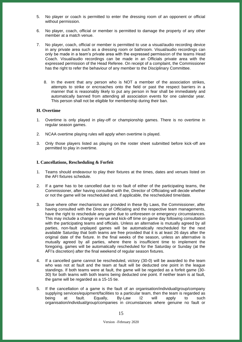- 5. No player or coach is permitted to enter the dressing room of an opponent or official without permission.
- 6. No player, coach, official or member is permitted to damage the property of any other member at a match venue.
- 7. No player, coach, official or member is permitted to use a visual/audio recording device in any private area such as a dressing room or bathroom. Visual/audio recordings can only be made in a team's private area with the expressed permission of the teams Head Coach. Visual/audio recordings can be made in an Officials private area with the expressed permission of the Head Referee. On receipt of a complaint, the Commissioner has the right to refer the behaviour of any member to the Disciplinary Committee.
	- 8. In the event that any person who is NOT a member of the association strikes, attempts to strike or encroaches onto the field or past the respect barriers in a manner that is reasonably likely to put any person in fear shall be immediately and automatically banned from attending all association events for one calendar year. This person shall not be eligible for membership during their ban.

## <span id="page-14-0"></span>**H. Overtime**

- 1. Overtime is only played in play-off or championship games. There is no overtime in regular season games.
- 2. NCAA overtime playing rules will apply when overtime is played.
- 3. Only those players listed as playing on the roster sheet submitted before kick-off are permitted to play in overtime.

#### <span id="page-14-1"></span>**I. Cancellations, Rescheduling & Forfeit**

- 1. Teams should endeavour to play their fixtures at the times, dates and venues listed on the AFI fixtures schedule.
- 2. If a game has to be cancelled due to no fault of either of the participating teams, the Commissioner, after having consulted with the, Director of Officiating will decide whether or not the game will be rescheduled and, if applicable, the rescheduled time/date.
- 3. Save where other mechanisms are provided in these By Laws, the Commissioner, after having consulted with the Director of Officiating and the respective team managements, have the right to reschedule any game due to unforeseen or emergency circumstances. This may include a change in venue and kick-off time on game day following consultation with the participating teams and officials. Unless an alternative is mutually agreed by all parties, non-fault unplayed games will be automatically rescheduled for the next available Saturday that both teams are free provided that it is at least 26 days after the original date of the fixture. In the final weeks of the season, unless an alternative is mutually agreed by all parties, where there is insufficient time to implement the foregoing, games will be automatically rescheduled for the Saturday or Sunday (at the AFI's discretion) after the final weekend of regular season fixtures.
- 4. If a cancelled game cannot be rescheduled, victory (30-0) will be awarded to the team who was not at fault and the team at fault will be deducted one point in the league standings. If both teams were at fault, the game will be regarded as a forfeit game (30- 30) for both teams with both teams being deducted one point. If neither team is at fault, the game will be regarded as a 15-15 tie.
- 5. If the cancellation of a game is the fault of an organisation/individual/group/company supplying services/equipment/facilities to a particular team, then the team is regarded as being at fault. Equally, By-Law I2 will apply to such organisation/individual/group/companies in circumstances where genuine no fault or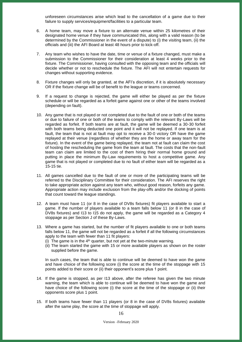unforeseen circumstances arise which lead to the cancellation of a game due to their failure to supply services/equipment/facilities to a particular team.

- 6. A home team, may move a fixture to an alternate venue within 25 kilometres of their designated home venue if they have communicated this, along with a valid reason (to be determined by the Commissioner in the event of a dispute) to (i) the visiting team, (ii) the officials and (iii) the AFI Board at least 48 hours prior to kick-off.
- 7. Any team who wishes to have the date, time or venue of a fixture changed, must make a submission to the Commissioner for their consideration at least 4 weeks prior to the fixture. The Commissioner, having consulted with the opposing team and the officials will decide whether or not to reschedule the fixture. The AFI will not entertain requests for changes without supporting evidence.
- 8. Fixture changes will only be granted, at the AFI's discretion, if it is absolutely necessary OR if the fixture change will be of benefit to the league or teams concerned.
- 9. If a request to change is rejected, the game will either be played as per the fixture schedule or will be regarded as a forfeit game against one or other of the teams involved (depending on fault).
- 10. Any game that is not played or not completed due to the fault of one or both of the teams or due to failure of one or both of the teams to comply with the relevant By-Laws will be regarded as forfeit. If both teams are at fault, the game will be deemed a 30-30 forfeit with both teams being deducted one point and it will not be replayed. If one team is at fault, the team that is not at fault may opt to receive a 30-0 victory OR have the game replayed at their venue (regardless of whether they are the home or away team for the fixture). In the event of the game being replayed, the team not at fault can claim the cost of hosting the rescheduling the game from the team at fault. The costs that the non-fault team can claim are limited to the cost of them hiring their normal home ground and putting in place the minimum By-Law requirements to host a competitive game. Any game that is not played or completed due to no fault of either team will be regarded as a 15-15 tie.
- 11. All games cancelled due to the fault of one or more of the participating teams will be referred to the Disciplinary Committee for their consideration. The AFI reserves the right to take appropriate action against any team who, without good reason, forfeits any game. Appropriate action may include exclusion from the play-offs and/or the docking of points that count toward the league standings.
- 12. A team must have 11 (or 8 in the case of DV8s fixtures) fit players available to start a game. If the number of players available to a team falls below 11 (or 8 in the case of DV8s fixtures) and I13 to I15 do not apply, the game will be regarded as a Category 4 stoppage as per Section J of these By-Laws.
- 13. Where a game has started, but the number of fit players available to one or both teams falls below 11, the game will not be regarded as a forfeit if all the following circumstances apply to the team with fewer than 11 fit players:
	- (i) The game is in the  $4<sup>th</sup>$  quarter, but not yet at the two-minute warning.
	- (ii) The team started the game with 15 or more available players as shown on the roster supplied before the game.

In such cases, the team that is able to continue will be deemed to have won the game and have choice of the following score (i) the score at the time of the stoppage with 15 points added to their score or (ii) their opponent's score plus 1 point.

- 14. If the game is stopped, as per I13 above, after the referee has given the two minute warning, the team which is able to continue will be deemed to have won the game and have choice of the following score (i) the score at the time of the stoppage or (ii) their opponents score plus 1 point.
- 15. If both teams have fewer than 11 players (or 8 in the case of DV8s fixtures) available after the same play, the score at the time of stoppage will apply.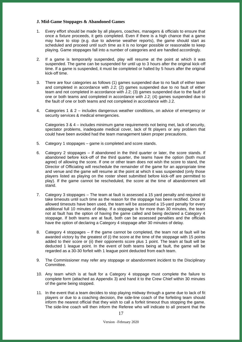## <span id="page-16-0"></span>**J. Mid-Game Stoppages & Abandoned Games**

- 1. Every effort should be made by all players, coaches, managers & officials to ensure that once a fixture proceeds, it gets completed. Even if there is a high chance that a game may have to stop (e.g. due to adverse weather reports), the game should start as scheduled and proceed until such time as it is no longer possible or reasonable to keep playing. Game stoppages fall into a number of categories and are handled accordingly.
- 2. If a game is temporarily suspended, play will resume at the point at which it was suspended. The game can be suspended for until up to 3 hours after the original kick-off time. If a game is suspended, it must be completed or halted by 5 hours after the original kick-off time.
- 3. There are four categories as follows (1) games suspended due to no fault of either team and completed in accordance with J.2; (2) games suspended due to no fault of either team and not completed in accordance with J.2; (3) games suspended due to the fault of one or both teams and completed in accordance with J.2; (4) games suspended due to the fault of one or both teams and not completed in accordance with J.2.
- 4. Categories 1 & 2 includes dangerous weather conditions, on advice of emergency or security services & medical emergencies.

Categories 3 & 4 – includes minimum game requirements not being met, lack of security, spectator problems, inadequate medical cover, lack of fit players or any problem that could have been avoided had the team management taken proper precautions.

- 5. Category 1 stoppages game is completed and score stands.
- 6. Category 2 stoppages if abandoned in the third quarter or later, the score stands. If abandoned before kick-off of the third quarter, the teams have the option (both must agree) of allowing the score. If one or other team does not wish the score to stand, the Director of Officiating will reschedule the remainder of the game for an appropriate time and venue and the game will resume at the point at which it was suspended (only those players listed as playing on the roster sheet submitted before kick-off are permitted to play). If the game cannot be rescheduled, the score at the time of abandonment will stand.
- 7. Category 3 stoppages The team at fault is assessed a 15 yard penalty and required to take timeouts until such time as the reason for the stoppage has been rectified. Once all allowed timeouts have been used, the team will be assessed a 15-yard penalty for every additional full 10 minutes of delay. If a stoppage is for more than 30 minutes, the team not at fault has the option of having the game called and being declared a Category 4 stoppage. If both teams are at fault, both can be assessed penalties and the officials have the option of declaring a Category 4 stoppage after 30 minutes of delay.
- 8. Category 4 stoppages If the game cannot be completed, the team not at fault will be awarded victory by the greatest of (i) the score at the time of the stoppage with 15 points added to their score or (ii) their opponents score plus 1 point. The team at fault will be deducted 1 league point. In the event of both teams being at fault, the game will be regarded as a 30-30 forfeit with 1 league point deducted from each team.
- 9. The Commissioner may refer any stoppage or abandonment incident to the Disciplinary Committee.
- 10. Any team which is at fault for a Category 4 stoppage must complete the failure to complete form (attached as Appendix 3) and hand it to the Crew Chief within 30 minutes of the game being stopped.
- 11. In the event that a team decides to stop playing midway through a game due to lack of fit players or due to a coaching decision, the side-line coach of the forfeiting team should inform the nearest official that they wish to call a forfeit timeout thus stopping the game. The side-line coach will then inform the Referee who will indicate to all present that the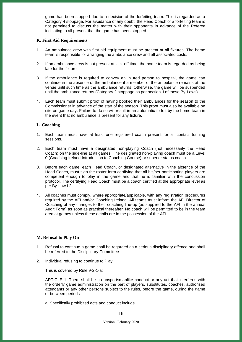game has been stopped due to a decision of the forfeiting team. This is regarded as a Category 4 stoppage. For avoidance of any doubt, the Head Coach of a forfeiting team is not permitted to discuss the matter with their opponents in advance of the Referee indicating to all present that the game has been stopped.

#### <span id="page-17-0"></span>**K. First Aid Requirements**

- 1. An ambulance crew with first aid equipment must be present at all fixtures. The home team is responsible for arranging the ambulance crew and all associated costs.
- 2. If an ambulance crew is not present at kick-off time, the home team is regarded as being late for the fixture.
- 3. If the ambulance is required to convey an injured person to hospital, the game can continue in the absence of the ambulance if a member of the ambulance remains at the venue until such time as the ambulance returns. Otherwise, the game will be suspended until the ambulance returns (Category 2 stoppage as per section J of these By-Laws).
- 4. Each team must submit proof of having booked their ambulances for the season to the Commissioner in advance of the start of the season. This proof must also be available on site on game day. Failure to do so will result in an automatic forfeit by the home team in the event that no ambulance is present for any fixture.

## <span id="page-17-1"></span>**L. Coaching**

- 1. Each team must have at least one registered coach present for all contact training sessions.
- 2. Each team must have a designated non-playing Coach (not necessarily the Head Coach) on the side-line at all games. The designated non-playing coach must be a Level 0 (Coaching Ireland Introduction to Coaching Course) or superior status coach.
- 3. Before each game, each Head Coach, or designated alternative in the absence of the Head Coach, must sign the roster form certifying that all his/her participating players are competent enough to play in the game and that he is familiar with the concussion protocol. The certifying Head Coach must be a coach certified at the appropriate level as per By-Law L2.
- 4. All coaches must comply, where appropriate/applicable, with any registration procedures required by the AFI and/or Coaching Ireland. All teams must inform the AFI Director of Coaching of any changes to their coaching line-up (as supplied to the AFI in the annual Audit Form) as soon as practical thereafter. No coach will be permitted to be in the team area at games unless these details are in the possession of the AFI.

## <span id="page-17-2"></span>**M. Refusal to Play On**

- 1. Refusal to continue a game shall be regarded as a serious disciplinary offence and shall be referred to the Disciplinary Committee.
- 2. Individual refusing to continue to Play

This is covered by Rule 9-2-1-a:

ARTICLE 1. There shall be no unsportsmanlike conduct or any act that interferes with the orderly game administration on the part of players, substitutes, coaches, authorised attendants or any other persons subject to the rules, before the game, during the game or between periods

a. Specifically prohibited acts and conduct include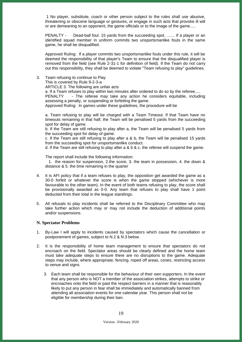1 No player, substitute, coach or other person subject to the rules shall use abusive, threatening or obscene language or gestures, or engage in such acts that provoke ill will or are demeaning to an opponent, the game officials or to the image of the game.....

PENALTY - Dead-ball foul. 15 yards from the succeeding spot. ....... If a player or an identified squad member in uniform commits two unsportsmanlike fouls in the same game, he shall be disqualified.

Approved Ruling: If a player commits two unsportsmanlike fouls under this rule, it will be deemed the responsibility of that player's Team to ensure that the disqualified player is removed from the field (see Rule 2-31-1 for definition of field). If the Team do not carry out this responsibility, they shall be deemed to violate "Team refusing to play" guidelines.

3. Team refusing to continue to Play

This is covered by Rule 9-2-3-a

ARTICLE 3. The following are unfair acts

a. If a Team refuses to play within two minutes after ordered to do so by the referee.....

PENALTY - The referee may take any action he considers equitable, including assessing a penalty, or suspending or forfeiting the game.

Approved Ruling: In games under these guidelines, the procedure will be

a. Team refusing to play will be charged with a Team Timeout. If that Team have no timeouts remaining in that half, the Team will be penalised 5 yards from the succeeding spot for delay of game.

b. If the Team are still refusing to play after a, the Team will be penalised 5 yards from the succeeding spot for delay of game.

c. If the Team are still refusing to play after a & b, the Team will be penalised 15 yards from the succeeding spot for unsportsmanlike conduct.

d. If the Team are still refusing to play after a & b & c, the referee will suspend the game.

The report shall include the following information:

 1. the reason for suspension, 2.the score, 3. the team in possession, 4. the down & distance & 5. the time remaining in the quarter

- 4. It is AFI policy that if a team refuses to play, the opposition get awarded the game as a 30-0 forfeit or whatever the score is when the game stopped (whichever is more favourable to the other team). In the event of both teams refusing to play, the score shall be provisionally awarded as 0-0. Any team that refuses to play shall have 1 point deducted from their total in the league standings.
- 5. All refusals to play incidents shall be referred to the Disciplinary Committee who may take further action which may or may not include the deduction of additional points and/or suspensions.

#### <span id="page-18-0"></span>**N. Spectator Problems**

- 1. By-Law I will apply to incidents caused by spectators which cause the cancellation or postponement of games, subject to N.2 & N.3 below.
- 2. It is the responsibility of home team management to ensure that spectators do not encroach on the field. Spectator areas should be clearly defined and the home team must take adequate steps to ensure there are no disruptions to the game. Adequate steps may include, where appropriate, fencing, roped off areas, cones, restricting access to venue and signs.
	- 3. Each team shall be responsible for the behaviour of their own supporters. In the event that any person who is NOT a member of the association strikes, attempts to strike or encroaches onto the field or past the respect barriers in a manner that is reasonably likely to put any person in fear shall be immediately and automatically banned from attending all association events for one calendar year. This person shall not be eligible for membership during their ban.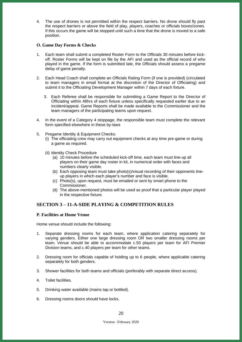4. The use of drones is not permitted within the respect barriers. No drone should fly past the respect barriers or above the field of play, players, coaches or officials boxes/zones. If this occurs the game will be stopped until such a time that the drone is moved to a safe position.

## <span id="page-19-0"></span>**O. Game Day Forms & Checks**

- 1. Each team shall submit a completed Roster Form to the Officials 30 minutes before kickoff. Roster Forms will be kept on file by the AFI and used as the official record of who played in the game. If the form is submitted late, the Officials should assess a pregame delay of game penalty.
- 2. Each Head Coach shall complete an Officials Rating Form (if one is provided) (circulated to team managers in email format at the discretion of the Director of Officiating) and submit it to the Officiating Development Manager within 7 days of each fixture.
	- 3. Each Referee shall be responsible for submitting a Game Report to the Director of Officiating within 48hrs of each fixture unless specifically requested earlier due to an incident/appeal. Game Reports shall be made available to the Commissioner and the team managers of the participating teams upon request.
- 4. In the event of a Category 4 stoppage, the responsible team must complete the relevant form specified elsewhere in these by-laws
- 5. Pregame Identity & Equipment Checks:
	- (i) The officiating crew may carry out equipment checks at any time pre-game or during a game as required.
	- (ii) Identity Check Procedure
		- (a) 10 minutes before the scheduled kick-off time, each team must line-up all players on their game day roster in kit, in numerical order with faces and numbers clearly visible.
		- (b) Each opposing team must take photo(s)/visual recording of their opponents lineup players in which each player's number and face is visible.
		- (c) Photo(s), upon request, must be emailed or sent by smart phone to the Commissioner.
		- (d) The above-mentioned photos will be used as proof that a particular player played in the respective fixture.

## <span id="page-19-1"></span>**SECTION 3 – 11-A-SIDE PLAYING & COMPETITION RULES**

## <span id="page-19-2"></span>**P. Facilities at Home Venue**

Home venue should include the following:

- 1. Separate dressing rooms for each team, where application catering separately for varying genders. Either one large dressing room OR two smaller dressing rooms per team. Venue should be able to accommodate c.50 players per team for AFI Premier Division teams, and c.40 players per team for other teams.
- 2. Dressing room for officials capable of holding up to 6 people, where applicable catering separately for both genders.
- 3. Shower facilities for both teams and officials (preferably with separate direct access).
- 4. Toilet facilities.
- 5. Drinking water available (mains tap or bottled).
- 6. Dressing rooms doors should have locks.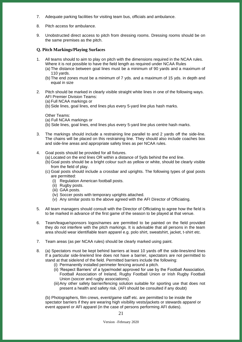- 7. Adequate parking facilities for visiting team bus, officials and ambulance.
- 8. Pitch access for ambulance.
- 9. Unobstructed direct access to pitch from dressing rooms. Dressing rooms should be on the same premises as the pitch.

#### <span id="page-20-0"></span>**Q. Pitch Markings/Playing Surfaces**

- 1. All teams should to aim to play on pitch with the dimensions required in the NCAA rules. Where it is not possible to have the field length as required under NCAA Rules
	- (a) The distance between goal lines must be a minimum of 90 yards and a maximum of 110 yards.
	- (b) The end zones must be a minimum of 7 yds. and a maximum of 15 yds. in depth and equal in size
- 2. Pitch should be marked in clearly visible straight white lines in one of the following ways. AFI Premier Division Teams:
	- (a) Full NCAA markings or

(b) Side lines, goal lines, end lines plus every 5-yard line plus hash marks.

Other Teams:

- (a) Full NCAA markings or
- (b) Side lines, goal lines, end lines plus every 5-yard line plus centre hash marks.
- 3. The markings should include a restraining line parallel to and 2 yards off the side-line. The chains will be placed on this restraining line. They should also include coaches box and side-line areas and appropriate safety lines as per NCAA rules.
- 4. Goal posts should be provided for all fixtures.
	- (a) Located on the end lines OR within a distance of 5yds behind the end line.
	- (b) Goal posts should be a bright colour such as yellow or white, should be clearly visible from the field of play.
	- (c) Goal posts should include a crossbar and uprights. The following types of goal posts are permitted:
		- (i) Regulation American football posts.
		- (ii) Rugby posts.
		- (iii) GAA posts.
		- (iv) Soccer posts with temporary uprights attached.
		- (v) Any similar posts to the above agreed with the AFI Director of Officiating.
- 5. All team managers should consult with the Director of Officiating to agree how the field is to be marked in advance of the first game of the season to be played at that venue.
- 6. Team/league/sponsors logos/names are permitted to be painted on the field provided they do not interfere with the pitch markings. It is advisable that all persons in the team area should wear identifiable team apparel e.g. polo shirt, sweatshirt, jacket, t-shirt etc.
- 7. Team areas (as per NCAA rules) should be clearly marked using paint.
- 8. (a) Spectators must be kept behind barriers at least 10 yards off the side-lines/end lines If a particular side-line/end line does not have a barrier, spectators are not permitted to stand at that side/end of the field. Permitted barriers include the following:
	- (i) Permanently installed perimeter fencing around a pitch.
	- (ii) 'Respect Barriers' of a type/model approved for use by the Football Association, Football Association of Ireland, Rugby Football Union or Irish Rugby Football Union (soccer and rugby associations).
	- (iii)Any other safety barrier/fencing solution suitable for sporting use that does not present a health and safety risk. (AFI should be consulted if any doubt)

(b) Photographers, film crews, event/game staff etc. are permitted to be inside the spectator barriers if they are wearing high visibility vests/jackets or stewards apparel or event apparel or AFI apparel (in the case of persons performing AFI duties).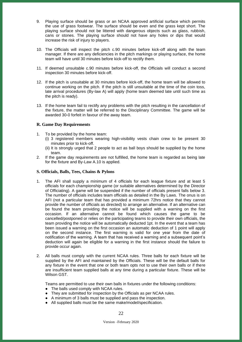- 9. Playing surface should be grass or an NCAA approved artificial surface which permits the use of grass footwear. The surface should be even and the grass kept short. The playing surface should not be littered with dangerous objects such as glass, rubbish, cans or stones. The playing surface should not have any holes or dips that would increase the risk of injury to players.
- 10. The Officials will inspect the pitch c.90 minutes before kick-off along with the team manager. If there are any deficiencies in the pitch markings or playing surface, the home team will have until 30 minutes before kick-off to rectify them.
- 11. If deemed unsuitable c.90 minutes before kick-off, the Officials will conduct a second inspection 30 minutes before kick-off.
- 12. If the pitch is unsuitable at 30 minutes before kick-off, the home team will be allowed to continue working on the pitch. If the pitch is still unsuitable at the time of the coin toss, late arrival procedures (By-law A) will apply (home team deemed late until such time as the pitch is ready).
- 13. If the home team fail to rectify any problems with the pitch resulting in the cancellation of the fixture, the matter will be referred to the Disciplinary Committee. The game will be awarded 30-0 forfeit in favour of the away team.

## <span id="page-21-0"></span>**R. Game Day Requirements**

- 1. To be provided by the home team:
	- (i) 3 registered members wearing high-visibility vests chain crew to be present 30 minutes prior to kick-off.
	- (ii) It is strongly urged that 2 people to act as ball boys should be supplied by the home team.
- 2. If the game day requirements are not fulfilled, the home team is regarded as being late for the fixture and By-Law A.10 is applied.

#### <span id="page-21-1"></span>**S. Officials, Balls, Tees, Chains & Pylons**

- 1. The AFI shall supply a minimum of 4 officials for each league fixture and at least 5 officials for each championship game (or suitable alternatives determined by the Director of Officiating). A game will be suspended if the number of officials present falls below 3. The number of officials includes team officials as detailed in the By Laws. The onus is on AFI (not a particular team that has provided a minimum 72hrs notice that they cannot provide the number of officials as directed) to arrange an alternative. If an alternative can be found the team providing the notice will be supplied with a warning on the first occasion. If an alternative cannot be found which causes the game to be cancelled/postponed or relies on the participating teams to provide their own officials, the team providing the notice will be automatically deducted 1pt. In the event that a team has been issued a warning on the first occasion an automatic deduction of 1 point will apply on the second instance. The first warning is valid for one year from the date of notification of the warning. A team that has received a warning and a subsequent point's deduction will again be eligible for a warning in the first instance should the failure to provide occur again.
- 2. All balls must comply with the current NCAA rules. Three balls for each fixture will be supplied by the AFI and maintained by the Officials. These will be the default balls for any fixture in the event that one or both team opts not to use their own balls or if there are insufficient team supplied balls at any time during a particular fixture. These will be Wilson GST.

Teams are permitted to use their own balls in fixtures under the following conditions:

- The balls used comply with NCAA rules.
- They are submitted for inspection by the Officials as per NCAA rules.
- A minimum of 3 balls must be supplied and pass the inspection.
- All supplied balls must be the same make/model/specification.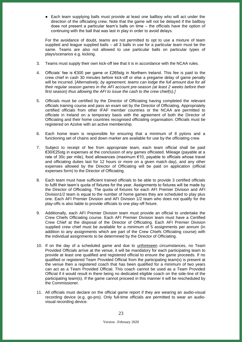● Each team supplying balls must provide at least one ballboy who will act under the direction of the officiating crew. Note that the game will not be delayed if the ballboy does not present a particular team's balls on time – the officials have the option of continuing with the ball that was last in play in order to avoid delays.

For the avoidance of doubt, teams are not permitted to opt to use a mixture of team supplied and league supplied balls – all 3 balls in use for a particular team must be the same. Teams are also not allowed to use particular balls on particular types of plays/scenarios e.g. kicking.

- 3. Teams must supply their own kick-off tee that it is in accordance with the NCAA rules.
- 4. Officials' fee is €300 per game or £265stg in Northern Ireland. This fee is paid to the crew chief in cash 30 minutes before kick-off or else a pregame delay of game penalty will be incurred. [*Alternatively, by agreement, teams can lodge the full amount due for all their regular season games in the AFI account pre-season (at least 2 weeks before their first season) thus allowing the AFI to issue the cash to the crew chief(s).]*
- 5. Officials must be certified by the Director of Officiating having completed the relevant officials training course and pass an exam set by the Director of Officiating. Appropriately certified officials from other IFAF member countries or the NCAA are permitted to officiate in Ireland on a temporary basis with the agreement of both the Director of Officiating and their home countries recognised officiating organisation. Officials must be registered on Azolve with an active membership.
- 6. Each home team is responsible for ensuring that a minimum of 8 pylons and a functioning set of chains and down marker are available for use by the officiating crew.
- 7. Subject to receipt of fee from appropriate team, each team official shall be paid €30/£25stg in expenses at the conclusion of any games officiated. Mileage (payable at a rate of 30c per mile), food allowances (maximum €10, payable to officials whose travel and officiating duties last for 12 hours or more on a given match day), and any other expenses allowed by the Director of Officiating will be paid on application (official expenses form) to the Director of Officiating.
- 8. Each team must have sufficient trained officials to be able to provide 3 certified officials to fulfil their team's quota of fixtures for the year. Assignments to fixtures will be made by the Director of Officiating. The quota of fixtures for each AFI Premier Division and AFI Division1/2 team is equal to the number of home games they are scheduled to play plus one. Each AFI Premier Division and AFI Division 1/2 team who does not qualify for the play-offs is also liable to provide officials to one play-off fixture.
- 9. Additionally, each AFI Premier Division team must provide an official to undertake the Crew Chiefs Officiating course. Each AFI Premier Division team must have a Certified Crew Chief at the disposal of the Director of Officiating. Each AFI Premier Division supplied crew chief must be available for a minimum of 5 assignments per annum (in addition to any assignments which are part of the Crew Chiefs Officiating course) with the individual assignments to be determined by the Director of Officiating.
- 10. If on the day of a scheduled game and due to unforeseen circumstances, no Team Provided Officials arrive at the venue, it will be mandatory for each participating team to provide at least one qualified and registered official to ensure the game proceeds. If no qualified or registered Team Provided Official from the participating team(s) is present at the venue then a registered coach that has been qualified for a minimum of two years can act as a Team Provided Official. This coach cannot be used as a Team Provided Official if it would result in there being no dedicated eligible coach on the side-line of the participating team(s). If the game cannot proceed in this manner it will be rescheduled by the Commissioner.
- 11. All officials must declare on the official game report if they are wearing an audio-visual recording device (e.g. go-pro). Only full-time officials are permitted to wear an audiovisual recording device.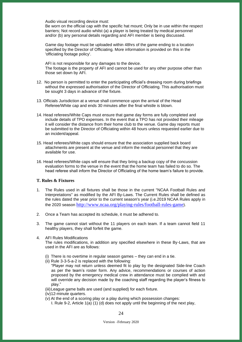Audio visual recording device must:

Be worn on the official cap with the specific hat mount; Only be in use within the respect barriers; Not record audio whilst (a) a player is being treated by medical personnel and/or (b) any personal details regarding and AFI member is being discussed.

Game day footage must be uploaded within 48hrs of the game ending to a location specified by the Director of Officiating. More information is provided on this in the 'officiating footage policy'.

AFI is not responsible for any damages to the device. The footage is the property of AFI and cannot be used for any other purpose other than those set down by AFI.

- 12. No person is permitted to enter the participating official's dressing room during briefings without the expressed authorisation of the Director of Officiating. This authorisation must be sought 3 days in advance of the fixture.
- 13. Officials Jurisdiction at a venue shall commence upon the arrival of the Head Referee/White cap and ends 30 minutes after the final whistle is blown.
- 14. Head referees/White Caps must ensure that game day forms are fully completed and include details of TPO expenses. In the event that a TPO has not provided their mileage it will consider the distance from their home club to the venue. Game day reports must be submitted to the Director of Officiating within 48 hours unless requested earlier due to an incident/appeal.
- 15. Head referees/White caps should ensure that the association supplied back board attachments are present at the venue and inform the medical personnel that they are available for use.
- 16. Head referees/White caps will ensure that they bring a backup copy of the concussion evaluation forms to the venue in the event that the home team has failed to do so. The head referee shall inform the Director of Officiating of the home team's failure to provide.

## <span id="page-23-0"></span>**T. Rules & Fixtures**

- 1. The Rules used in all fixtures shall be those in the current "NCAA Football Rules and Interpretations" as modified by the AFI By-Laws. The Current Rules shall be defined as the rules dated the year prior to the current season's year (i.e.2019 NCAA Rules apply in the 2020 season <http://www.ncaa.org/playing-rules/football-rules-game>).
- 2. Once a Team has accepted its schedule, it must be adhered to.
- 3. The game cannot start without the 11 players on each team. If a team cannot field 11 healthy players, they shall forfeit the game.

## 4. AFI Rules Modifications

The rules modifications, in addition any specified elsewhere in these By-Laws, that are used in the AFI are as follows:

- (i) There is no overtime in regular season games they can end in a tie.
- (ii) Rule 3-3-5-a-2 is replaced with the following:
	- "Player may not return unless deemed fit to play by the designated Side-line Coach as per the team's roster form. Any advice, recommendations or courses of action proposed by the emergency medical crew in attendance must be complied with and will override any decision made by the coaching staff regarding the player's fitness to play."
- (iii)League game balls are used (and supplied) for each fixture.
- (iv)12-minute quarters.
- (v) At the end of a scoring play or a play during which possession changes:
	- I. Rule 9-2, Article 1(a) (1) (d) does not apply until the beginning of the next play,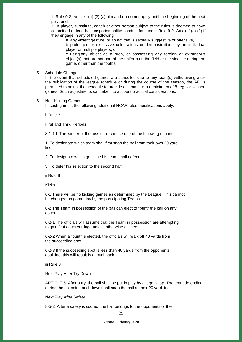II. Rule 9-2, Article 1(a) (2) (a), (b) and (c) do not apply until the beginning of the next play, and

III. A player, substitute, coach or other person subject to the rules is deemed to have committed a dead-ball unsportsmanlike conduct foul under Rule 9-2, Article 1(a) (1) if they engage in any of the following:

a. any violent gesture, or an act that is sexually suggestive or offensive,

b. prolonged or excessive celebrations or demonstrations by an individual player or multiple players, or

c. using any object as a prop, or possessing any foreign or extraneous object(s) that are not part of the uniform on the field or the sideline during the game, other than the football.

#### 5. Schedule Changes

In the event that scheduled games are cancelled due to any team(s) withdrawing after the publication of the league schedule or during the course of the season, the AFI is permitted to adjust the schedule to provide all teams with a minimum of 8 regular season games. Such adjustments can take into account practical considerations.

#### 6. Non-Kicking Games

In such games, the following additional NCAA rules modifications apply:

i. Rule 3

First and Third Periods

3-1-1d. The winner of the toss shall choose one of the following options:

1. To designate which team shall first snap the ball from their own 20 yard line.

2. To designate which goal line his team shall defend.

3. To defer his selection to the second half.

ii Rule 6

Kicks

6-1 There will be no kicking games as determined by the League. This cannot be changed on game day by the participating Teams.

6-2 The Team in possession of the ball can elect to "punt" the ball on any down.

6-2-1 The officials will assume that the Team in possession are attempting to gain first down yardage unless otherwise elected.

6-2-2 When a "punt" is elected, the officials will walk off 40 yards from the succeeding spot.

6-2-3 If the succeeding spot is less than 40 yards from the opponents goal-line, this will result is a touchback.

iii Rule 8

Next Play After Try Down

ARTICLE 6. After a try, the ball shall be put in play by a legal snap. The team defending during the six-point touchdown shall snap the ball at their 20 yard line.

Next Play After Safety

8-5-2. After a safety is scored, the ball belongs to the opponents of the

Version –February 2020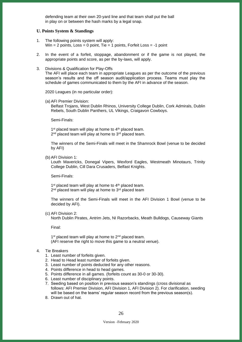defending team at their own 20-yard line and that team shall put the ball in play on or between the hash marks by a legal snap.

#### <span id="page-25-0"></span>**U. Points System & Standings**

- 1. The following points system will apply: Win  $= 2$  points, Loss  $= 0$  point, Tie  $= 1$  points, Forfeit Loss  $= -1$  point
- 2. In the event of a forfeit, stoppage, abandonment or if the game is not played, the appropriate points and score, as per the by-laws, will apply.
- 3. Divisions & Qualification for Play-Offs The AFI will place each team in appropriate Leagues as per the outcome of the previous season's results and the off season audit/application process. Teams must play the

schedule of games communicated to them by the AFI in advance of the season.

2020 Leagues (in no particular order):

(a) AFI Premier Division:

Belfast Trojans, West Dublin Rhinos, University College Dublin, Cork Admirals, Dublin Rebels, South Dublin Panthers, UL Vikings, Craigavon Cowboys.

Semi-Finals:

1<sup>st</sup> placed team will play at home to 4<sup>th</sup> placed team. 2<sup>nd</sup> placed team will play at home to 3<sup>rd</sup> placed team.

The winners of the Semi-Finals will meet in the Shamrock Bowl (venue to be decided by AFI)

(b) AFI Division 1:

Louth Mavericks, Donegal Vipers, Wexford Eagles, Westmeath Minotaurs, Trinity College Dublin, Cill Dara Crusaders, Belfast Knights.

Semi-Finals:

1<sup>st</sup> placed team will play at home to 4<sup>th</sup> placed team. 2<sup>nd</sup> placed team will play at home to 3<sup>rd</sup> placed team

The winners of the Semi-Finals will meet in the AFI Division 1 Bowl (venue to be decided by AFI).

(c) AFI Division 2:

North Dublin Pirates, Antrim Jets, NI Razorbacks, Meath Bulldogs, Causeway Giants

Final:

1<sup>st</sup> placed team will play at home to 2<sup>nd</sup> placed team. (AFI reserve the right to move this game to a neutral venue).

- 4. Tie Breakers
	- 1. Least number of forfeits given.
	- 2. Head to Head least number of forfeits given.
	- 3. Least number of points deducted for any other reasons.
	- 4. Points difference in head to head games.
	- 5. Points difference in all games. (forfeits count as 30-0 or 30-30).
	- 6. Least number of disciplinary points.

7. Seeding based on position in previous season's standings (cross divisional as follows: AFI Premier Division, AFI Division 1, AFI Division 2). For clarification, seeding will be based on the teams' regular season record from the previous season(s).

8. Drawn out of hat.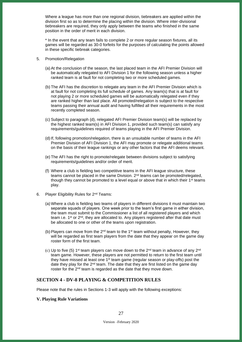Where a league has more than one regional division, tiebreakers are applied within the division first so as to determine the placing within the division. Where inter-divisional tiebreakers are required, they only apply between the teams who finished in the same position in the order of merit in each division.

\* In the event that any team fails to complete 2 or more regular season fixtures, all its games will be regarded as 30-0 forfeits for the purposes of calculating the points allowed in these specific tiebreak categories.

- 5. Promotion/Relegation
	- (a) At the conclusion of the season, the last placed team in the AFI Premier Division will be automatically relegated to AFI Division 1 for the following season unless a higher ranked team is at fault for not completing two or more scheduled games.
	- (b) The AFI has the discretion to relegate any team in the AFI Premier Division which is at fault for not completing its full schedule of games. Any team(s) that is at fault for not playing 2 or more scheduled games will be automatically relegated even if they are ranked higher than last place. All promoted/relegation is subject to the respective teams passing their annual audit and having fulfilled all their requirements in the most recently completed season.
	- (c) Subject to paragraph (d), relegated AFI Premier Division team(s) will be replaced by the highest ranked team(s) in AFI Division 1, provided such team(s) can satisfy any requirements/guidelines required of teams playing in the AFI Premier Division.
	- (d) If, following promotion/relegation, there is an unsuitable number of teams in the AFI Premier Division of AFI Division 1, the AFI may promote or relegate additional teams on the basis of their league rankings or any other factors that the AFI deems relevant.
	- (e) The AFI has the right to promote/relegate between divisions subject to satisfying requirements/guidelines and/or order of merit.
	- (f) Where a club is fielding two competitive teams in the AFI league structure, these teams cannot be placed in the same Division. 2<sup>nd</sup> teams can be promoted/relegated, though they cannot be promoted to a level equal or above that in which their  $1<sup>st</sup>$  teams play.
- 6. Player Eligibility Rules for 2<sup>nd</sup> Teams:
	- (a) Where a club is fielding two teams of players in different divisions it must maintain two separate squads of players. One week prior to the team's first game in either division, the team must submit to the Commissioner a list of all registered players and which team i.e. 1<sup>st</sup> or 2<sup>nd</sup>, they are allocated to. Any players registered after that date must be allocated to one or other of the teams upon registration.
	- (b) Players can move from the  $2<sup>nd</sup>$  team to the 1<sup>st</sup> team without penalty. However, they will be regarded as first team players from the date that they appear on the game day roster form of the first team.
	- (c) Up to five (5) 1<sup>st</sup> team players can move down to the 2<sup>nd</sup> team in advance of any 2<sup>nd</sup> team game. However, these players are not permitted to return to the first team until they have missed at least one 1<sup>st</sup> team game (regular season or play-offs) post the date they play for the 2<sup>nd</sup> team. The date that they are first listed on the game day roster for the  $2<sup>nd</sup>$  team is regarded as the date that they move down.

## <span id="page-26-0"></span>**SECTION 4 - DV-8 PLAYING & COMPETITION RULES**

Please note that the rules in Sections 1-3 will apply with the following exceptions:

#### <span id="page-26-1"></span>**V. Playing Rule Variations**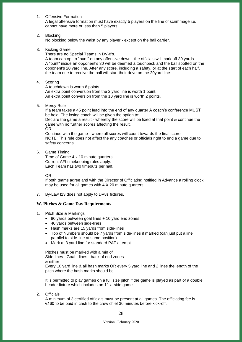1. Offensive Formation

A legal offensive formation must have exactly 5 players on the line of scrimmage i.e. cannot have more or less than 5 players.

2. Blocking

No blocking below the waist by any player - except on the ball carrier.

3. Kicking Game

There are no Special Teams in DV-8's.

A team can opt to "punt" on any offensive down - the officials will mark off 30 yards. A "punt" inside an opponent's 30 will be deemed a touchback and the ball spotted on the opponent's 20 yard line. After any score, including a safety, or at the start of each half, the team due to receive the ball will start their drive on the 20yard line.

4. Scoring

A touchdown is worth 6 points.

An extra point conversion from the 2 yard line is worth 1 point. An extra point conversion from the 10 yard line is worth 2 points.

5. Mercy Rule

If a team takes a 45 point lead into the end of any quarter A coach's conference MUST be held. The losing coach will be given the option to:

Declare the game a result - whereby the score will be fixed at that point & continue the game with no further scores affecting the result.

OR

Continue with the game - where all scores will count towards the final score. NOTE: This rule does not affect the any coaches or officials right to end a game due to safety concerns.

6. Game Timing

Time of Game 4 x 10 minute quarters. Current AFI timekeeping rules apply. Each Team has two timeouts per half.

OR

If both teams agree and with the Director of Officiating notified in Advance a rolling clock may be used for all games with 4 X 20 minute quarters.

7. By-Law I13 does not apply to DV8s fixtures.

## <span id="page-27-0"></span>**W. Pitches & Game Day Requirements**

- 1. Pitch Size & Markings
	- 80 yards between goal lines + 10 yard end zones
	- 40 yards between side-lines
	- Hash marks are 15 yards from side-lines
	- Top of Numbers should be 7 yards from side-lines if marked (can just put a line parallel to side-line at same position)
	- Mark at 3 yard line for standard PAT attempt

Pitches must be marked with a min of Side-lines - Goal - lines - back of end zones

& either

Every 10 yard line & all hash marks OR every 5 yard line and 2 lines the length of the pitch where the hash marks should be.

It is permitted to play games on a full size pitch if the game is played as part of a double header fixture which includes an 11-a-side game.

2. Officials

A minimum of 3 certified officials must be present at all games. The officiating fee is €160 to be paid in cash to the crew chief 30 minutes before kick-off.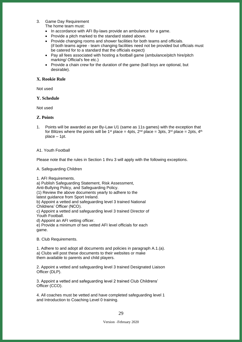3. Game Day Requirement

The home team must:

- In accordance with AFI By-laws provide an ambulance for a game.
- Provide a pitch marked to the standard stated above.
- Provide changing rooms and shower facilities for both teams and officials. (if both teams agree - team changing facilities need not be provided but officials must be catered for to a standard that the officials expect)
- Pay all fees associated with hosting a football game (ambulance/pitch hire/pitch marking/ Official's fee etc.)
- Provide a chain crew for the duration of the game (ball boys are optional, but desirable).

## <span id="page-28-0"></span>**X. Rookie Rule**

Not used

## <span id="page-28-1"></span>**Y. Schedule**

Not used

## <span id="page-28-2"></span>**Z. Points**

1. Points will be awarded as per By-Law U1 (same as 11s games) with the exception that for Blitzes where the points will be 1<sup>st</sup> place = 4pts,  $2^{nd}$  place = 3pts,  $3^{rd}$  place = 2pts,  $4^{th}$ place – 1pt.

## A1. Youth Football

Please note that the rules in Section 1 thru 3 will apply with the following exceptions.

A. Safeguarding Children

1. AFI Requirements.

a) Publish Safeguarding Statement, Risk Assessment,

Anti-Bullying Policy, and Safeguarding Policy.

(1) Review the above documents yearly to adhere to the

latest guidance from Sport Ireland.

b) Appoint a vetted and safeguarding level 3 trained National Childrens' Officer (NCO).

c) Appoint a vetted and safeguarding level 3 trained Director of Youth Football.

d) Appoint an AFI vetting officer.

e) Provide a minimum of two vetted AFI level officials for each game.

B. Club Requirements.

1. Adhere to and adopt all documents and policies in paragraph A.1.(a). a) Clubs will post these documents to their websites or make them available to parents and child players.

2. Appoint a vetted and safeguarding level 3 trained Designated Liaison Officer (DLP).

3. Appoint a vetted and safeguarding level 2 trained Club Childrens' Officer (CCO).

4. All coaches must be vetted and have completed safeguarding level 1 and Introduction to Coaching Level 0 training.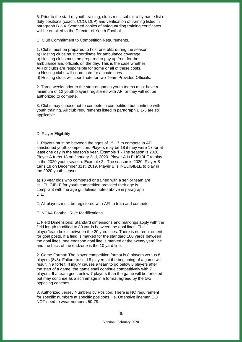5. Prior to the start of youth training, clubs must submit a by name list of duty positions (coach, CCO, DLP) and verification of training listed in paragraph B.2-4. Scanned copies of safeguarding training certificates will be emailed to the Director of Youth Football.

C. Club Commitment to Competition Requirements.

1. Clubs must be prepared to host one blitz during the season. a) Hosting clubs must coordinate for ambulance coverage. b) Hosting clubs must be prepared to pay up front for the ambulance and officials on the day. This is the case whether AFI or clubs are responsible for some or all of these costs. c) Hosting clubs will coordinate for a chain crew. d) Hosting clubs will coordinate for two Team Provided Officials.

2. Three weeks prior to the start of games youth teams must have a minimum of 12 youth players registered with AFI or they will not be authorized to compete.

3. Clubs may choose not to compete in competition but continue with youth training. All club requirements listed in paragraph B.1-5 are still applicable.

#### D. Player Eligibility

1. Players must be between the ages of 15-17 to compete in AFI sanctioned youth competition. Players may be 18 if they were 17 for at least one day in the season's year. Example 1 - The season is 2020. Player A turns 18 on January 2nd, 2020. Player A is ELIGIBLE to play in the 2020 youth season. Example 2 - The season is 2020. Player B turns 18 on December 31st, 2019. Player B is INELIGIBLE to play in the 2020 youth season.

a) 18 year olds who competed or trained with a senior team are still ELIGIBLE for youth competition provided their age is compliant with the age guidelines noted above in paragraph D.1.

2. All players must be registered with AFI to train and compete.

E. NCAA Football Rule Modifications.

1. Field Dimensions: Standard dimensions and markings apply with the field length modified to 80 yards between the goal lines. The player/team box is between the 20 yard lines. There is no requirement for goal posts. If a field is marked for the standard 100 yards between the goal lines, one endzone goal line is marked at the twenty yard line and the back of the endzone is the 10 yard line.

2. Game Format: The player competition format is 8 players versus 8 players (8v8). Failure to field 8 players at the beginning of a game will result in a forfeit. If injury causes a team to go below 8 players after the start of a game; the game shall continue competitively with 7 players. If a team goes below 7 players than the game will be forfeited but may continue as a scrimmage in a format agreed by the two opposing coaches.

3. Authorized Jersey Numbers by Position: There is NO requirement for specific numbers at specific positions. i.e. Offensive lineman DO NOT need to wear numbers 50-79.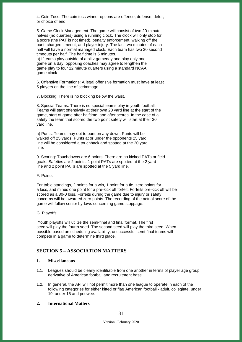4. Coin Toss: The coin toss winner options are offense, defense, defer, or choice of end.

5. Game Clock Management. The game will consist of two 20-minute halves (no quarters) using a running clock. The clock will only stop for a score (the PAT is not timed), penalty enforcement, walking off the punt, charged timeout, and player injury. The last two minutes of each half will have a normal managed clock. Each team has two 30 second timeouts per half. The half time is 5 minutes.

a) If teams play outside of a blitz gameday and play only one game on a day, opposing coaches may agree to lengthen the game play to four 12 minute quarters using a standard NCAA game clock.

6. Offensive Formations: A legal offensive formation must have at least 5 players on the line of scrimmage.

7. Blocking: There is no blocking below the waist.

8. Special Teams: There is no special teams play in youth football. Teams will start offensively at their own 20 yard line at the start of the game, start of game after halftime, and after scores. In the case of a safety the team that scored the two point safety will start at their 30 yard line.

a) Punts: Teams may opt to punt on any down. Punts will be walked off 25 yards. Punts at or under the opponents 25 yard line will be considered a touchback and spotted at the 20 yard line.

9. Scoring: Touchdowns are 6 points. There are no kicked PATs or field goals. Safeties are 2 points. 1 point PATs are spotted at the 2 yard line and 2 point PATs are spotted at the 5 yard line.

F. Points:

For table standings, 2 points for a win, 1 point for a tie, zero points for a loss, and minus one point for a pre-kick off forfeit. Forfeits pre-kick off will be scored as a 30-0 loss. Forfeits during the game due to injury or safety concerns will be awarded zero points. The recording of the actual score of the game will follow senior by-laws concerning game stoppage.

#### G. Playoffs:

Youth playoffs will utilize the semi-final and final format. The first seed will play the fourth seed. The second seed will play the third seed. When possible based on scheduling availability, unsuccessful semi-final teams will compete in a game to determine third place.

## <span id="page-30-0"></span>**SECTION 5 – ASSOCIATION MATTERS**

#### <span id="page-30-1"></span>**1. Miscellaneous**

- 1.1. Leagues should be clearly identifiable from one another in terms of player age group, derivative of American football and recruitment base.
- 1.2. In general, the AFI will not permit more than one league to operate in each of the following categories for either kitted or flag American football - adult, collegiate, under 19, under 15 and peewee.

## <span id="page-30-2"></span>**2. International Matters**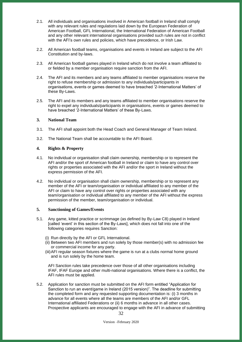- 2.1. All individuals and organisations involved in American football in Ireland shall comply with any relevant rules and regulations laid down by the European Federation of American Football, GFL International, the International Federation of American Football and any other relevant international organisations provided such rules are not in conflict with the AFI's own rules and policies, which have precedence, or Irish Law.
- 2.2. All American football teams, organisations and events in Ireland are subject to the AFI Constitution and by-laws.
- 2.3. All American football games played in Ireland which do not involve a team affiliated to or fielded by a member organisation require sanction from the AFI.
- 2.4. The AFI and its members and any teams affiliated to member organisations reserve the right to refuse membership or admission to any individuals/participants in organisations, events or games deemed to have breached '2-International Matters' of these By-Laws.
- 2.5. The AFI and its members and any teams affiliated to member organisations reserve the right to expel any individuals/participants in organisations, events or games deemed to have breached '2-International Matters' of these By-Laws.

## <span id="page-31-0"></span>**3. National Team**

- 3.1. The AFI shall appoint both the Head Coach and General Manager of Team Ireland.
- 3.2. The National Team shall be accountable to the AFI Board.

## <span id="page-31-1"></span>**4. Rights & Property**

- 4.1. No individual or organisation shall claim ownership, membership or to represent the AFI and/or the sport of American football in Ireland or claim to have any control over rights or properties associated with the AFI and/or the sport in Ireland without the express permission of the AFI.
- 4.2. No individual or organisation shall claim ownership, membership or to represent any member of the AFI or team/organisation or individual affiliated to any member of the AFI or claim to have any control over rights or properties associated with any team/organisation or individual affiliated to any member of the AFI without the express permission of the member, team/organisation or individual.

## <span id="page-31-2"></span>**5. Sanctioning of Games/Events**

- 5.1. Any game, kitted practice or scrimmage (as defined by By-Law C8) played in Ireland [called 'event' in this section of the By-Laws], which does not fall into one of the following categories requires Sanction:
	- (i) Run directly by the AFI or GFL International.
	- (ii) Between two AFI members and run solely by those member(s) with no admission fee or commercial income for any party.
	- (iii)AFI regular season fixtures where the game is run at a clubs normal home ground and is run solely by the home team.

AFI Sanction rules take precedence over those of all other organisations including IFAF, IFAF Europe and other multi-national organisations. Where there is a conflict, the AFI rules must be applied.

5.2. Application for sanction must be submitted on the AFI form entitled "Application for Sanction to run an event/game in Ireland (2015 version)". The deadline for submitting the completed form and any requested supporting documentation is: (i) 3 months in advance for all events where all the teams are members of the AFI and/or GFL International affiliated Federations or (ii) 6 months in advance in all other cases. Prospective applicants are encouraged to engage with the AFI in advance of submitting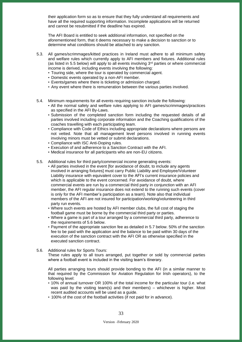their application form so as to ensure that they fully understand all requirements and have all the required supporting information. Incomplete applications will be returned and cannot be resubmitted if the deadline has expired.

The AFI Board is entitled to seek additional information, not specified on the aforementioned form, that it deems necessary to make a decision to sanction or to determine what conditions should be attached to any sanction.

- 5.3. All games/scrimmages/kitted practices in Ireland must adhere to all minimum safety and welfare rules which currently apply to AFI members and fixtures. Additional rules (as listed in 5.5 below) will apply to all events involving  $3<sup>rd</sup>$  parties or where commercial income is derived, including events involving the following:
	- Touring side, where the tour is operated by commercial agent.
	- Domestic events operated by a non-AFI member.
	- Events/games where there is ticketing or admission charged.
	- Any event where there is remuneration between the various parties involved.
- 5.4. Minimum requirements for all events requiring sanction include the following:
	- All the normal safety and welfare rules applying to AFI games/scrimmages/practices as specified in the AFI By-Laws.
	- Submission of the completed sanction form including the requested details of all parties involved including corporate information and the Coaching qualifications of the coaches travelling with each participating team.
	- Compliance with Code of Ethics including appropriate declarations where persons are not vetted. Note that all management level persons involved in running events involving minors must be vetted or submit declarations.
	- Compliance with ISC Anti-Doping rules.
	- Execution of and adherence to a Sanction Contract with the AFI.
	- Medical insurance for all participants who are non-EU citizens.
- 5.5. Additional rules for third party/commercial income generating events:
	- All parties involved in the event [for avoidance of doubt, to include any agents involved in arranging fixtures] must carry Public Liability and Employee/Volunteer Liability insurance with equivalent cover to the AFI's current insurance policies and which is applicable to the event concerned. For avoidance of doubt, where commercial events are run by a commercial third party in conjunction with an AFI member, the AFI regular insurance does not extend to the running such events (cover is only for the AFI member's participation as a team). Note also that individual members of the AFI are not insured for participation/working/volunteering in third party run events.
	- Where such events are hosted by AFI member clubs, the full cost of staging the football game must be borne by the commercial third party or parties.
	- Where a game is part of a tour arranged by a commercial third party, adherence to the requirements of 5.6 below.
	- Payment of the appropriate sanction fee as detailed in 5.7 below. 50% of the sanction fee to be paid with the application and the balance to be paid within 30 days of the execution of the sanction contract with the AFI OR as otherwise specified in the executed sanction contract.

#### 5.6. Additional rules for Sports Tours:

These rules apply to all tours arranged, put together or sold by commercial parties where a football event is included in the visiting team's itinerary.

All parties arranging tours should provide bonding to the AFI (in a similar manner to that required by the Commission for Aviation Regulation for Irish operators), to the following level:

- 10% of annual turnover OR 100% of the total income for the particular tour (i.e. what was paid by the visiting team(s) and their members) – whichever is higher. Most recent audited accounts will be used as a guide.
- 100% of the cost of the football activities (if not paid for in advance).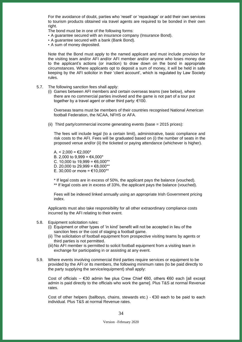For the avoidance of doubt, parties who 'resell' or 'repackage' or add their own services to tourism products obtained via travel agents are required to be bonded in their own right.

The bond must be in one of the following forms:

- A guarantee secured with an insurance company (Insurance Bond).
- A guarantee secured with a bank (Bank Bond).
- A sum of money deposited.

Note that the Bond must apply to the named applicant and must include provision for the visiting team and/or AFI and/or AFI member and/or anyone who loses money due to the applicant's actions (or inaction) to draw down on the bond in appropriate circumstances. Where applicants opt to deposit a sum of money, it will be held in safe keeping by the AFI solicitor in their 'client account', which is regulated by Law Society rules.

5.7. The following sanction fees shall apply:

(i) Games between AFI members and certain overseas teams (see below), where there are no commercial parties involved and the game is not part of a tour put together by a travel agent or other third party: €100.

Overseas teams must be members of their countries recognised National American football Federation, the NCAA, NFHS or AFA.

(ii) Third party/commercial income generating events (base = 2015 prices):

The fees will include legal (to a certain limit), administrative, basic compliance and risk costs to the AFI. Fees will be graduated based on (i) the number of seats in the proposed venue and/or (ii) the ticketed or paying attendance (whichever is higher).

A.  $<$  2,000 = €2,000<sup>\*</sup> B. 2,000 to 9,999 = €4,000\* C. 10,000 to 19,999 = €6,000\*\* D. 20,000 to 29,999 =  $\text{\textsterling}8,000**$ E. 30,000 or more = €10,000\*\*

\* If legal costs are in excess of 50%, the applicant pays the balance (vouched). \*\* If legal costs are in excess of 33%, the applicant pays the balance (vouched).

Fees will be indexed linked annually using an appropriate Irish Government pricing index.

Applicants must also take responsibility for all other extraordinary compliance costs incurred by the AFI relating to their event.

- 5.8. Equipment solicitation rules:
	- (i) Equipment or other types of 'in kind' benefit will not be accepted in lieu of the sanction fees or the cost of staging a football game.
	- (ii) The solicitation of football equipment from prospective visiting teams by agents or third parties is not permitted.
	- (iii) No AFI member is permitted to solicit football equipment from a visiting team in exchange for participating in or assisting at any event.
- 5.9. Where events involving commercial third parties require services or equipment to be provided by the AFI or its members, the following minimum rates (to be paid directly to the party supplying the service/equipment) shall apply:

Cost of officials – €30 admin fee plus Crew Chief €60, others €60 each [all except admin is paid directly to the officials who work the game]. Plus T&S at normal Revenue rates.

Cost of other helpers (ballboys, chains, stewards etc.) -  $\epsilon$ 30 each to be paid to each individual. Plus T&S at normal Revenue rates.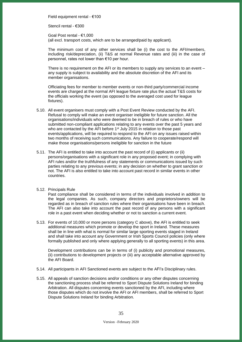Field equipment rental - €100

Stencil rental - €300

Goal Post rental - €1,000 (all excl. transport costs, which are to be arranged/paid by applicant).

The minimum cost of any other services shall be (i) the cost to the AFI/members, including risk/depreciation, (ii) T&S at normal Revenue rates and (iii) in the case of personnel, rates not lower than €10 per hour.

There is no requirement on the AFI or its members to supply any services to an event – any supply is subject to availability and the absolute discretion of the AFI and its member organisations.

Officiating fees for member to member events or non-third party/commercial income events are charged at the normal AFI league fixture rate plus the actual T&S costs for the officials working the event (as opposed to the averaged cost used for league fixtures).

- 5.10. All event organisers must comply with a Post Event Review conducted by the AFI. Refusal to comply will make an event organiser ineligible for future sanction. All the organisations/individuals who were deemed to be in breach of rules or who have submitted non-compliant applications relating to any events over the past 5 years and who are contacted by the AFI before 1<sup>st</sup> July 2015 in relation to those past events/applications, will be required to respond to the AFI on any issues raised within two months of receiving such communications. Any failure to cooperate/respond will make those organisations/persons ineligible for sanction in the future
- 5.11. The AFI is entitled to take into account the past record of (i) applicants or (ii) persons/organisations with a significant role in any proposed event; in complying with AFI rules and/or the truthfulness of any statements or communications issued by such parties relating to any previous events; in any decision on whether to grant sanction or not. The AFI is also entitled to take into account past record in similar events in other countries.

#### 5.12. Principals Rule

Past compliance shall be considered in terms of the individuals involved in addition to the legal companies. As such, company directors and proprietors/owners will be regarded as in breach of sanction rules where their organisations have been in breach. The AFI can also take into account the past record of any persons with a significant role in a past event when deciding whether or not to sanction a current event.

5.13. For events of 10,000 or more persons (category C above), the AFI is entitled to seek additional measures which promote or develop the sport in Ireland. These measures shall be in line with what is normal for similar large sporting events staged in Ireland and shall take into account any Government or Irish Sports Council policies (only where formally published and only where applying generally to all sporting events) in this area.

Development contributions can be in terms of (i) publicity and promotional measures, (ii) contributions to development projects or (iii) any acceptable alternative approved by the AFI Board.

- 5.14. All participants in AFI Sanctioned events are subject to the AFI's Disciplinary rules.
- 5.15. All appeals of sanction decisions and/or conditions or any other disputes concerning the sanctioning process shall be referred to Sport Dispute Solutions Ireland for binding Arbitration. All disputes concerning events sanctioned by the AFI, including where those disputes which do not involve the AFI or AFI members, shall be referred to Sport Dispute Solutions Ireland for binding Arbitration.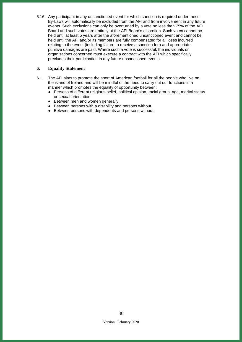5.16. Any participant in any unsanctioned event for which sanction is required under these By-Laws will automatically be excluded from the AFI and from involvement in any future events. Such exclusions can only be overturned by a vote no less than 75% of the AFI Board and such votes are entirely at the AFI Board's discretion. Such votes cannot be held until at least 5 years after the aforementioned unsanctioned event and cannot be held until the AFI and/or its members are fully compensated for all loses incurred relating to the event (including failure to receive a sanction fee) and appropriate punitive damages are paid. Where such a vote is successful, the individuals or organisations concerned must execute a contract with the AFI which specifically precludes their participation in any future unsanctioned events.

## <span id="page-35-0"></span>**6. Equality Statement**

- 6.1. The AFI aims to promote the sport of American football for all the people who live on the island of Ireland and will be mindful of the need to carry out our functions in a manner which promotes the equality of opportunity between:
	- Persons of different religious belief, political opinion, racial group, age, marital status or sexual orientation.
	- Between men and women generally.
	- Between persons with a disability and persons without.
	- Between persons with dependents and persons without.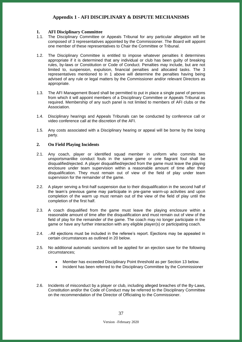## <span id="page-36-1"></span><span id="page-36-0"></span>**1. AFI Disciplinary Committee**

- 1.1. The Disciplinary Committee or Appeals Tribunal for any particular allegation will be composed of 3 representatives appointed by the Commissioner. The Board will appoint one member of these representatives to Chair the Committee or Tribunal.
- 1.2. The Disciplinary Committee is entitled to impose whatever penalties it determines appropriate if it is determined that any individual or club has been guilty of breaking rules, by-laws or Constitution or Code of Conduct. Penalties may include, but are not limited to, suspension, expulsion, financial penalties and allocated tasks. The 3 representatives mentioned to in 1 above will determine the penalties having being advised of any rule or legal matters by the Commissioner and/or relevant Directors as appropriate.
- 1.3. The AFI Management Board shall be permitted to put in place a single panel of persons from which it will appoint members of a Disciplinary Committee or Appeals Tribunal as required. Membership of any such panel is not limited to members of AFI clubs or the Association.
- 1.4. Disciplinary hearings and Appeals Tribunals can be conducted by conference call or video conference call at the discretion of the AFI.
- 1.5. Any costs associated with a Disciplinary hearing or appeal will be borne by the losing party.

## <span id="page-36-2"></span>**2. On Field Playing Incidents**

- 2.1. Any coach, player or identified squad member in uniform who commits two unsportsmanlike conduct fouls in the same game or one flagrant foul shall be disqualified/ejected. A player disqualified/ejected from the game must leave the playing enclosure under team supervision within a reasonable amount of time after their disqualification. They must remain out of view of the field of play under team supervision for the remainder of the game.
- 2.2. A player serving a first-half suspension due to their disqualification in the second half of the team's previous game may participate in pre-game warm-up activities and upon completion of the warm up must remain out of the view of the field of play until the completion of the first half.
- 2.3. A coach disqualified from the game must leave the playing enclosure within a reasonable amount of time after the disqualification and must remain out of view of the field of play for the remainder of the game. The coach may no longer participate in the game or have any further interaction with any eligible player(s) or participating coach.
- 2.4. . All ejections must be included in the referee's report. Ejections may be appealed in certain circumstances as outlined in 20 below.
- 2.5. No additional automatic sanctions will be applied for an ejection save for the following circumstances;
	- Member has exceeded Disciplinary Point threshold as per Section 13 below.
	- Incident has been referred to the Disciplinary Committee by the Commissioner
- 2.6. Incidents of misconduct by a player or club, including alleged breaches of the By-Laws, Constitution and/or the Code of Conduct may be referred to the Disciplinary Committee on the recommendation of the Director of Officiating to the Commissioner.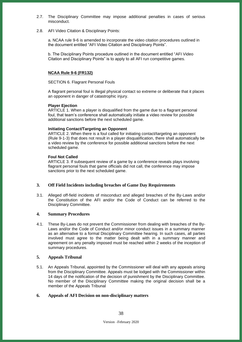- 2.7. The Disciplinary Committee may impose additional penalties in cases of serious misconduct.
- 2.8. AFI Video Citation & Disciplinary Points:

a. NCAA rule 9-6 is amended to incorporate the video citation procedures outlined in the document entitled "AFI Video Citation and Disciplinary Points".

b. The Disciplinary Points procedure outlined in the document entitled "AFI Video Citation and Disciplinary Points" is to apply to all AFI run competitive games.

## **NCAA Rule 9-6 (FR132)**

SECTION 6. Flagrant Personal Fouls

A flagrant personal foul is illegal physical contact so extreme or deliberate that it places an opponent in danger of catastrophic injury.

## **Player Ejection**

ARTICLE 1. When a player is disqualified from the game due to a flagrant personal foul, that team's conference shall automatically initiate a video review for possible additional sanctions before the next scheduled game.

## **Initiating Contact/Targeting an Opponent**

ARTICLE 2. When there is a foul called for initiating contact/targeting an opponent (Rule 9-1-3) that does not result in a player disqualification, there shall automatically be a video review by the conference for possible additional sanctions before the next scheduled game.

## **Foul Not Called**

ARTICLE 3. If subsequent review of a game by a conference reveals plays involving flagrant personal fouls that game officials did not call, the conference may impose sanctions prior to the next scheduled game.

## <span id="page-37-0"></span>**3. Off Field Incidents including breaches of Game Day Requirements**

3.1. Alleged off-field incidents of misconduct and alleged breaches of the By-Laws and/or the Constitution of the AFI and/or the Code of Conduct can be referred to the Disciplinary Committee.

#### <span id="page-37-1"></span>**4. Summary Procedures**

4.1. These By-Laws do not prevent the Commissioner from dealing with breaches of the By-Laws and/or the Code of Conduct and/or minor conduct issues in a summary manner as an alternative to a formal Disciplinary Committee hearing. In such cases, all parties involved must agree to the matter being dealt with in a summary manner and agreement on any penalty imposed must be reached within 2 weeks of the inception of summary procedures.

## <span id="page-37-2"></span>**5. Appeals Tribunal**

5.1. An Appeals Tribunal, appointed by the Commissioner will deal with any appeals arising from the Disciplinary Committee. Appeals must be lodged with the Commissioner within 14 days of the notification of the decision of punishment by the Disciplinary Committee. No member of the Disciplinary Committee making the original decision shall be a member of the Appeals Tribunal

## <span id="page-37-3"></span>**6. Appeals of AFI Decision on non-disciplinary matters**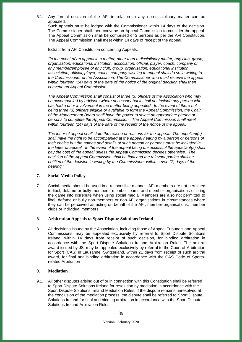6.1. Any formal decision of the AFI in relation to any non-disciplinary matter can be appealed.

Such appeals must be lodged with the Commissioner within 14 days of the decision. The Commissioner shall then convene an Appeal Commission to consider the appeal. The Appeal Commission shall be comprised of 3 persons as per the AFI Constitution. The Appeal Commission shall meet within 14 days of receipt of the appeal.

Extract from AFI Constitution concerning Appeals:

*"In the event of an appeal in a matter, other than a disciplinary matter, any club, group, organisation, educational institution, association, official, player, coach, company or any member/employee of any club, group, organisation, educational institution, association, official, player, coach, company wishing to appeal shall do so in writing to the Commissioner of the Association. The Commissioner who must receive the appeal within fourteen (14) days of the date of the notice of the original decision shall then convene an Appeal Commission.*

*The Appeal Commission shall consist of three (3) officers of the Association who may be accompanied by advisors where necessary but it shall not include any person who*  has had a prior involvement in the matter being appealed. In the event of there not *being three (3) officers eligible or available to form the Appeal Commission, the Chair of the Management Board shall have the power to select an appropriate person or persons to complete the Appeal Commission. The Appeal Commission shall meet within fourteen (14) days of the date of the receipt of the notice of the appeal.* 

*The letter of appeal shall state the reason or reasons for the appeal. The appellant(s) shall have the right to be accompanied at the appeal hearing by a person or persons of their choice but the names and details of such person or persons must be included in*  the letter of appeal. In the event of the appeal being unsuccessful the appellant(s) shall *pay the cost of the appeal unless the Appeal Commission decides otherwise. The decision of the Appeal Commission shall be final and the relevant parties shall be notified of the decision in writing by the Commissioner within seven (7) days of the hearing."*

## <span id="page-38-0"></span>**7. Social Media Policy**

7.1. Social media should be used in a responsible manner. AFI members are not permitted to libel, defame or bully members, member teams and member organisations or bring the game into disrepute when using social media. Members are also not permitted to libel, defame or bully non-members or non-AFI organisations in circumstances where they can be perceived as acting on behalf of the AFI, member organisations, member clubs or individual members.

#### <span id="page-38-1"></span>**8. Arbitration Appeals to Sport Dispute Solutions Ireland**

8.1. All decisions issued by the Association, including those of Appeal Tribunals and Appeal Commissions, may be appealed exclusively by referral to Sport Dispute Solutions Ireland, within 14 days from receipt of such decision, for binding arbitration in accordance with the Sport Dispute Solutions Ireland Arbitration Rules. The arbitral award issued by JSI may be appealed exclusively by referral to the Court of Arbitration for Sport (CAS) in Lausanne, Switzerland, within 21 days from receipt of such arbitral award, for final and binding arbitration in accordance with the CAS Code of Sportsrelated Arbitration

## <span id="page-38-2"></span>**9. Mediation**

9.1. All other disputes arising out of or in connection with this Constitution shall be referred to Sport Dispute Solutions Ireland for resolution by mediation in accordance with the Sport Dispute Solutions Ireland Mediation Rules. If the dispute remains unresolved at the conclusion of the mediation process, the dispute shall be referred to Sport Dispute Solutions Ireland for final and binding arbitration in accordance with the Sport Dispute Solutions Ireland Arbitration Rules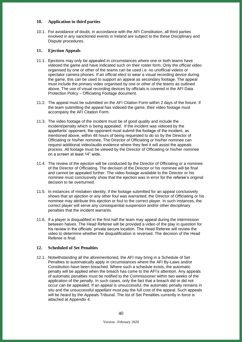## <span id="page-39-0"></span>**10. Application to third parties**

10.1. For avoidance of doubt, in accordance with the AFI Constitution, all third parties involved in any sanctioned events in Ireland are subject to the these Disciplinary and Dispute procedures.

## <span id="page-39-1"></span>**11. Ejection Appeals**

- 11.1. Ejections may only be appealed in circumstances where one or both teams have videoed the game and have indicated such on their roster form. Only the official video organised by one or other of the teams can be used i.e. no unofficial videos or spectator camera phones. If an official elect to wear a visual recording device during the game, this can be used to support an appeal as secondary footage. The appeal must include the primary video organised by one or other of the teams as outlined above. The use of visual recording devices by officials is covered in the AFI Data Protection Policy – Officiating Footage document.
- 11.2. The appeal must be submitted on the AFI Citation Form within 2 days of the fixture. If the team submitting the appeal has videoed the game, their video footage must accompany the AFI Citation Form.
- 11.3. The video footage of the incident must be of good quality and include the incident/penalty which is being appealed. If the incident was videoed by the appellants' opponent, the opponent must submit the footage of the incident, as mentioned above, within 48 hours of being requested to do so by the Director of Officiating or his/her nominee. The Director of Officiating or his/her nominee can request additional video/audio evidence where they feel it will assist the appeals process. All footage must be viewed by the Director of Officiating or his/her nominee on a screen at least 14" wide.
- 11.4. The review of the ejection will be conducted by the Director of Officiating or a nominee of the Director of Officiating. The decision of the Director or his nominee will be final and cannot be appealed further. The video footage available to the Director or his nominee must conclusively show that the ejection was in error for the referee's original decision to be overturned.
- 11.5. In instances of mistaken identity, if the footage submitted for an appeal conclusively shows that an ejection or any other foul was warranted, the Director of Officiating or his nominee may attribute this ejection or foul to the correct player. In such instances, the correct player will serve any consequential suspension and/or other disciplinary penalties that the incident warrants.
- 11.6. If a player is disqualified in the first half the team may appeal during the intermission between halves. The Head Referee will be provided a video of the play in question for his review in the officials' private secure location. The Head Referee will review the video to determine whether the disqualification is reversed. The decision of the Head Referee is final.

## <span id="page-39-2"></span>**12. Scheduled of Set Penalties**

12.1. Notwithstanding all the aforementioned, the AFI may bring in a Schedule of Set Penalties to automatically apply in circumstances where the AFI By-Laws and/or Constitution have been breached. Where such a schedule exists, the automatic penalty will be applied when the breach has come to the AFI's attention. Any appeals of automatic penalties must be notified to the Commissioner within two weeks of the application of the penalty. In such cases, only the fact that a breach did or did not occur can be appealed. If an appeal is unsuccessful, the automatic penalty remains in situ and the unsuccessful appellant must pay the full cost of the appeal. Such appeals will be heard by the Appeals Tribunal. The list of Set Penalties currently in force is attached at Appendix 4.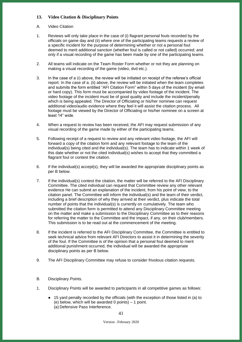## <span id="page-40-0"></span>**13. Video Citation & Disciplinary Points**

## A. Video Citation

- 1. Reviews will only take place in the case of (i) flagrant personal fouls recorded by the officials on game day and (ii) where one of the participating teams requests a review of a specific incident for the purpose of determining whether or not a personal foul deemed to merit additional sanction (whether foul is called or not called) occurred; and only if a visual recording of the game has been made by one of the participating teams.
- 2. All teams will indicate on the Team Roster Form whether or not they are planning on making a visual recording of the game (video, dvd etc.).
- 3. In the case of a (i) above, the review will be initiated on receipt of the referee's official report. In the case of a. (ii) above, the review will be initiated when the team completes and submits the form entitled "AFI Citation Form" within 5 days of the incident (by email or hard copy). This form must be accompanied by video footage of the incident. The video footage of the incident must be of good quality and include the incident/penalty which is being appealed. The Director of Officiating or his/her nominee can request additional video/audio evidence where they feel it will assist the citation process. All footage must be viewed by the Director of Officiating or his/her nominee on a screen at least 14" wide.
- 4. When a request to review has been received, the AFI may request submission of any visual recording of the game made by either of the participating teams.
- 5. Following receipt of a request to review and any relevant video footage, the AFI will forward a copy of the citation form and any relevant footage to the team of the individual(s) being cited and the individual(s). The team has to indicate within 1 week of this date whether or not the cited individual(s) wishes to accept that they committed a flagrant foul or contest the citation.
- 6. If the individual(s) accept(s), they will be awarded the appropriate disciplinary points as per B below.
- 7. If the individual(s) contest the citation, the matter will be referred to the AFI Disciplinary Committee. The cited individual can request that Committee review any other relevant evidence He can submit an explanation of the incident, from his point of view, to the citation panel. The Committee will inform the individual(s) and the team of their verdict, including a brief description of why they arrived at their verdict, plus indicate the total number of points that the individual(s) is currently on cumulatively. The team who submitted the citation form is permitted to attend any Disciplinary Committee meeting on the matter and make a submission to the Disciplinary Committee as to their reasons for referring the matter to the Committee and the impact, if any, on their club/members. This submission is to be read out at the commencement of the meeting.
- 8. If the incident is referred to the AFI Disciplinary Committee, the Committee is entitled to seek technical advice from relevant AFI Directors to assist it in determining the severity of the foul. If the Committee is of the opinion that a personal foul deemed to merit additional punishment occurred, the individual will be awarded the appropriate disciplinary points as per B below.
- 9. The AFI Disciplinary Committee may refuse to consider frivolous citation requests.
- B. Disciplinary Points.
- 1. Disciplinary Points will be awarded to participants in all competitive games as follows:
	- 15 yard penalty recorded by the officials (with the exception of those listed in (a) to (e) below, which will be awarded 0 points) – 1 point. (a) Defensive Pass Interference.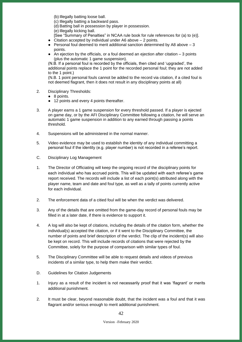(b) Illegally batting loose ball.

(c) Illegally batting a backward pass.

(d) Batting ball in possession by player in possession.

(e) Illegally kicking ball.

[See "Summary of Penalties" in NCAA rule book for rule references for (a) to (e)].

● Citation accepted by individual under A6 above – 2 points.

- Personal foul deemed to merit additional sanction determined by A8 above  $-3$ points.
- $\bullet$  An ejection by the officials, or a foul deemed an ejection after citation  $-3$  points (plus the automatic 1 game suspension).

(N.B. If a personal foul is recorded by the officials, then cited and 'upgraded', the additional points replace the 1 point for the recorded personal foul; they are not added to the 1 point.)

(N.B. 1 point personal fouls cannot be added to the record via citation, if a cited foul is not deemed flagrant, then it does not result in any disciplinary points at all)

- 2. Disciplinary Thresholds:
	- 8 points.
	- 12 points and every 4 points thereafter.
- 3. A player earns a 1 game suspension for every threshold passed. If a player is ejected on game day, or by the AFI Disciplinary Committee following a citation, he will serve an automatic 1 game suspension in addition to any earned through passing a points threshold.
- 4. Suspensions will be administered in the normal manner.
- 5. Video evidence may be used to establish the identity of any individual committing a personal foul if the identity (e.g. player number) is not recorded in a referee's report.
- C. Disciplinary Log Management
- 1. The Director of Officiating will keep the ongoing record of the disciplinary points for each individual who has accrued points. This will be updated with each referee's game report received. The records will include a list of each point(s) attributed along with the player name, team and date and foul type, as well as a tally of points currently active for each individual.
- 2. The enforcement data of a citied foul will be when the verdict was delivered.
- 3. Any of the details that are omitted from the game-day record of personal fouls may be filled in at a later date, if there is evidence to support it.
- 4. A log will also be kept of citations, including the details of the citation form, whether the individual(s) accepted the citation, or if it went to the Disciplinary Committee, the number of points and brief description of the verdict. The clip of the incident(s) will also be kept on record. This will include records of citations that were rejected by the Committee, solely for the purpose of comparison with similar types of foul.
- 5. The Disciplinary Committee will be able to request details and videos of previous incidents of a similar type, to help them make their verdict.
- D. Guidelines for Citation Judgements
- 1. Injury as a result of the incident is not necessarily proof that it was 'flagrant' or merits additional punishment.
- 2. It must be clear, beyond reasonable doubt, that the incident was a foul and that it was flagrant and/or serious enough to merit additional punishment.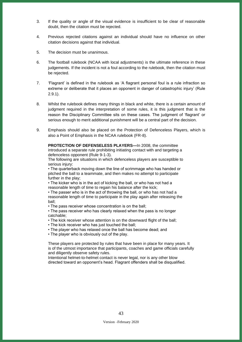- 3. If the quality or angle of the visual evidence is insufficient to be clear of reasonable doubt, then the citation must be rejected.
- 4. Previous rejected citations against an individual should have no influence on other citation decisions against that individual.
- 5. The decision must be unanimous.
- 6. The football rulebook (NCAA with local adjustments) is the ultimate reference in these judgements. If the incident is not a foul according to the rulebook, then the citation must be rejected.
- 7. 'Flagrant' is defined in the rulebook as 'A flagrant personal foul is a rule infraction so extreme or deliberate that it places an opponent in danger of catastrophic injury' (Rule 2.9.1).
- 8. Whilst the rulebook defines many things in black and white, there is a certain amount of judgment required in the interpretation of some rules, it is this judgment that is the reason the Disciplinary Committee sits on these cases. The judgment of 'flagrant' or serious enough to merit additional punishment will be a central part of the decision.
- 9. Emphasis should also be placed on the Protection of Defenceless Players, which is also a Point of Emphasis in the NCAA rulebook (FR-8).

**PROTECTION OF DEFENSELESS PLAYERS—**In 2008, the committee introduced a separate rule prohibiting initiating contact with and targeting a defenceless opponent (Rule 9-1-3).

The following are situations in which defenceless players are susceptible to serious injury:

• The quarterback moving down the line of scrimmage who has handed or pitched the ball to a teammate, and then makes no attempt to participate further in the play;

• The kicker who is in the act of kicking the ball, or who has not had a reasonable length of time to regain his balance after the kick;

• The passer who is in the act of throwing the ball, or who has not had a reasonable length of time to participate in the play again after releasing the ball;

• The pass receiver whose concentration is on the ball;

• The pass receiver who has clearly relaxed when the pass is no longer catchable;

- The kick receiver whose attention is on the downward flight of the ball;
- The kick receiver who has just touched the ball;
- The player who has relaxed once the ball has become dead; and
- The player who is obviously out of the play.

These players are protected by rules that have been in place for many years. It is of the utmost importance that participants, coaches and game officials carefully and diligently observe safety rules.

Intentional helmet-to-helmet contact is never legal, nor is any other blow directed toward an opponent's head. Flagrant offenders shall be disqualified.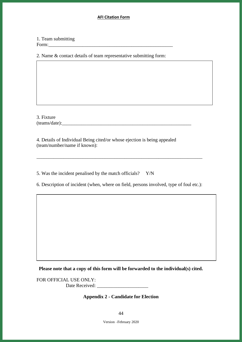## **AFI Citation Form**

## 1. Team submitting Form:

2. Name & contact details of team representative submitting form:

3. Fixture  $(\text{teams}/\text{date})$ :

4. Details of Individual Being cited/or whose ejection is being appealed (team/number/name if known):

5. Was the incident penalised by the match officials? Y/N

6. Description of incident (when, where on field, persons involved, type of foul etc.):

\_\_\_\_\_\_\_\_\_\_\_\_\_\_\_\_\_\_\_\_\_\_\_\_\_\_\_\_\_\_\_\_\_\_\_\_\_\_\_\_\_\_\_\_\_\_\_\_\_\_\_\_\_\_\_\_\_\_\_\_\_\_\_\_\_\_\_\_

**Please note that a copy of this form will be forwarded to the individual(s) cited.**

<span id="page-43-0"></span>FOR OFFICIAL USE ONLY: Date Received:

## **Appendix 2 - Candidate for Election**

Version –February 2020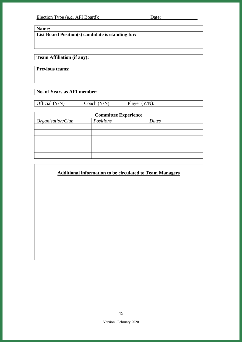**Name:** 

**List Board Position(s) candidate is standing for:**

# **Team Affiliation (if any):**

**Previous teams:** 

**No. of Years as AFI member:**

Official (Y/N) Coach (Y/N) Player (Y/N):

| <b>Committee Experience</b> |           |       |  |
|-----------------------------|-----------|-------|--|
| Organisation/Club           | Positions | Dates |  |
|                             |           |       |  |
|                             |           |       |  |
|                             |           |       |  |
|                             |           |       |  |
|                             |           |       |  |
|                             |           |       |  |

# **Additional information to be circulated to Team Managers**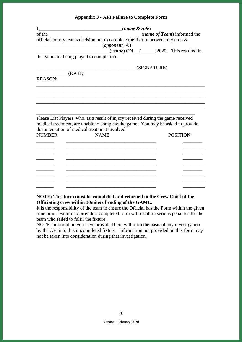| <b>Appendix 3 - AFI Failure to Complete Form</b> |  |
|--------------------------------------------------|--|
|--------------------------------------------------|--|

<span id="page-45-0"></span>

|                | (name & role)                                                                                                                                                        |                                      |
|----------------|----------------------------------------------------------------------------------------------------------------------------------------------------------------------|--------------------------------------|
|                |                                                                                                                                                                      | ( <i>name of Team</i> ) informed the |
|                | officials of my teams decision not to complete the fixture between my club $\&$<br>$\qquad (opponent) AT$                                                            |                                      |
|                | $\frac{(\text{venue}) \text{ ON } \_\_\_\_\_\_\_2}{\text{72020.}}$ This resulted in                                                                                  |                                      |
|                | the game not being played to completion.                                                                                                                             |                                      |
|                | (SIGNATURE)                                                                                                                                                          |                                      |
| (DATE)         |                                                                                                                                                                      |                                      |
| <b>REASON:</b> |                                                                                                                                                                      |                                      |
|                |                                                                                                                                                                      |                                      |
|                |                                                                                                                                                                      |                                      |
|                |                                                                                                                                                                      |                                      |
|                |                                                                                                                                                                      |                                      |
|                |                                                                                                                                                                      |                                      |
|                |                                                                                                                                                                      |                                      |
|                | Please List Players, who, as a result of injury received during the game received<br>medical treatment, are unable to complete the game. You may be asked to provide |                                      |
|                | documentation of medical treatment involved.                                                                                                                         |                                      |
|                | <b>NAME</b>                                                                                                                                                          |                                      |
| <b>NUMBER</b>  |                                                                                                                                                                      | <b>POSITION</b>                      |
|                |                                                                                                                                                                      |                                      |
|                |                                                                                                                                                                      |                                      |
|                |                                                                                                                                                                      |                                      |
|                |                                                                                                                                                                      |                                      |
|                |                                                                                                                                                                      |                                      |
|                |                                                                                                                                                                      |                                      |
|                |                                                                                                                                                                      |                                      |
|                |                                                                                                                                                                      |                                      |
|                |                                                                                                                                                                      |                                      |

## **NOTE: This form must be completed and returned to the Crew Chief of the Officiating crew within 30mins of ending of the GAME.**

It is the responsibility of the team to ensure the Official has the Form within the given time limit. Failure to provide a completed form will result in serious penalties for the team who failed to fulfil the fixture.

NOTE: Information you have provided here will form the basis of any investigation by the AFI into this uncompleted fixture. Information not provided on this form may not be taken into consideration during that investigation.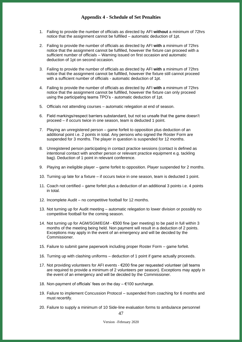## **Appendix 4 - Schedule of Set Penalties**

- <span id="page-46-0"></span>1. Failing to provide the number of officials as directed by AFI **without** a minimum of 72hrs notice that the assignment cannot be fulfilled – automatic deduction of 1pt.
- 2. Failing to provide the number of officials as directed by AFI **with** a minimum of 72hrs notice that the assignment cannot be fulfilled, however the fixture can proceed with a sufficient number of officials – Warning issued on first occasion and automatic deduction of 1pt on second occasion.
- 3. Failing to provide the number of officials as directed by AFI **with** a minimum of 72hrs notice that the assignment cannot be fulfilled, however the fixture still cannot proceed with a sufficient number of officials - automatic deduction of 1pt.
- 4. Failing to provide the number of officials as directed by AFI **with** a minimum of 72hrs notice that the assignment cannot be fulfilled, however the fixture can only proceed using the participating teams TPO's - automatic deduction of 1pt.
- 5. Officials not attending courses automatic relegation at end of season.
- 6. Field markings/respect barriers substandard, but not so unsafe that the game doesn't proceed – if occurs twice in one season, team is deducted 1 point.
- 7. Playing an unregistered person game forfeit to opposition plus deduction of an additional point i.e. 2 points in total. Any persons who signed the Roster Form are suspended for 3 months. The player in question is suspended for 12 months.
- 8. Unregistered person participating in contact practice sessions (contact is defined as intentional contact with another person or relevant practice equipment e.g. tackling bag). Deduction of 1 point in relevant conference.
- 9. Playing an ineligible player game forfeit to opposition. Player suspended for 2 months.
- 10. Turning up late for a fixture if occurs twice in one season, team is deducted 1 point.
- 11. Coach not certified game forfeit plus a deduction of an additional 3 points i.e. 4 points in total.
- 12. Incomplete Audit no competitive football for 12 months.
- 13. Not turning up for Audit meeting automatic relegation to lower division or possibly no competitive football for the coming season.
- 14. Not turning up for AGM/SGM/EGM €500 fine (per meeting) to be paid in full within 3 months of the meeting being held. Non payment will result in a deduction of 2 points. Exceptions may apply in the event of an emergency and will be decided by the Commissioner.
- 15. Failure to submit game paperwork including proper Roster Form game forfeit.
- 16. Turning up with clashing uniforms deduction of 1 point if game actually proceeds.
- 17. Not providing volunteers for AFI events €200 fine per requested volunteer (all teams are required to provide a minimum of 2 volunteers per season). Exceptions may apply in the event of an emergency and will be decided by the Commissioner.
- 18. Non-payment of officials' fees on the day €100 surcharge.
- 19. Failure to implement Concussion Protocol suspended from coaching for 6 months and must recertify.
- 20. Failure to supply a minimum of 10 Side-line evaluation forms to ambulance personnel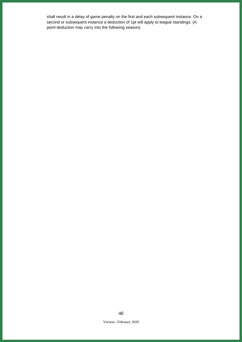shall result in a delay of game penalty on the first and each subsequent instance. On a second or subsequent instance a deduction of 1pt will apply to league standings. (A point deduction may carry into the following season).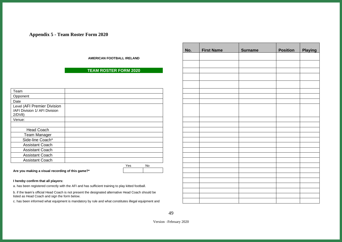## **Appendix 5 - Team Roster Form 2020**

**AMERICAN FOOTBALL IRELAND**

## **TEAM ROSTER FORM 2020**

| Team                                                                  |  |     |    |
|-----------------------------------------------------------------------|--|-----|----|
| Opponent                                                              |  |     |    |
| Date                                                                  |  |     |    |
| Level (AFI Premier Division<br>/AFI Division 1/ AFI Division<br>2/DV8 |  |     |    |
| Venue:                                                                |  |     |    |
|                                                                       |  |     |    |
| <b>Head Coach</b>                                                     |  |     |    |
| <b>Team Manager</b>                                                   |  |     |    |
| Side-line Coach*                                                      |  |     |    |
| <b>Assistant Coach</b>                                                |  |     |    |
| <b>Assistant Coach</b>                                                |  |     |    |
| <b>Assistant Coach</b>                                                |  |     |    |
| <b>Assistant Coach</b>                                                |  |     |    |
|                                                                       |  | Yes | No |

<span id="page-48-0"></span>**Are you making a visual recording of this game?\***

#### **I hereby confirm that all players:**

a. has been registered correctly with the AFI and has sufficient training to play kitted football.

b. if the team's official Head Coach is not present the designated alternative Head Coach should be listed as Head Coach and sign the form below.

c. has been informed what equipment is mandatory by rule and what constitutes illegal equipment and

| No. | <b>First Name</b> | <b>Surname</b> | <b>Position</b> | Playing |
|-----|-------------------|----------------|-----------------|---------|
|     |                   |                |                 |         |
|     |                   |                |                 |         |
|     |                   |                |                 |         |
|     |                   |                |                 |         |
|     |                   |                |                 |         |
|     |                   |                |                 |         |
|     |                   |                |                 |         |
|     |                   |                |                 |         |
|     |                   |                |                 |         |
|     |                   |                |                 |         |
|     |                   |                |                 |         |
|     |                   |                |                 |         |
|     |                   |                |                 |         |
|     |                   |                |                 |         |
|     |                   |                |                 |         |
|     |                   |                |                 |         |
|     |                   |                |                 |         |
|     |                   |                |                 |         |
|     |                   |                |                 |         |
|     |                   |                |                 |         |
|     |                   |                |                 |         |
|     |                   |                |                 |         |
|     |                   |                |                 |         |
|     |                   |                |                 |         |
|     |                   |                |                 |         |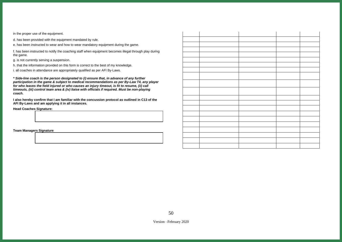in the proper use of the equipment.

d. has been provided with the equipment mandated by rule.

e. has been instructed to wear and how to wear mandatory equipment during the game.

f. has been instructed to notify the coaching staff when equipment becomes illegal through play during the game.

g. is not currently serving a suspension.

h. that the information provided on this form is correct to the best of my knowledge.

i. all coaches in attendance are appropriately qualified as per AFI By-Laws.

*\* Side-line coach is the person designated to (i) ensure that, in advance of any further participation in the game & subject to medical recommendations as per By-Law T4, any player for who leaves the field injured or who causes an injury timeout, is fit to resume, (ii) call timeouts, (iii) control team area & (iv) liaise with officials if required. Must be non-playing coach.*

**I also hereby confirm that I am familiar with the concussion protocol as outlined in C13 of the AFI By-Laws and am applying it in all instances.**

**Head Coaches Signature:**

**Team Managers Signature**